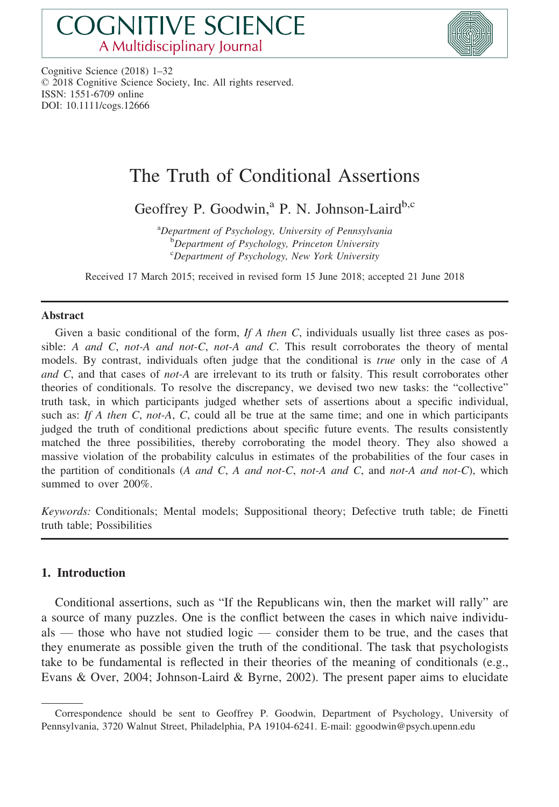# **COGNITIVE SCIENCE** A Multidisciplinary Journal

Cognitive Science (2018) 1–32 © 2018 Cognitive Science Society, Inc. All rights reserved. ISSN: 1551-6709 online DOI: 10.1111/cogs.12666

## The Truth of Conditional Assertions

Geoffrey P. Goodwin,<sup>a</sup> P. N. Johnson-Laird<sup>b,c</sup>

<sup>a</sup>Department of Psychology, University of Pennsylvania<br><sup>b</sup>Department of Psychology, Princeton University <sup>b</sup>Department of Psychology, Princeton University <sup>c</sup>Department of Psychology, New York University

Received 17 March 2015; received in revised form 15 June 2018; accepted 21 June 2018

#### Abstract

Given a basic conditional of the form, If A then C, individuals usually list three cases as possible: A and C, not-A and not-C, not-A and C. This result corroborates the theory of mental models. By contrast, individuals often judge that the conditional is *true* only in the case of A and C, and that cases of *not-A* are irrelevant to its truth or falsity. This result corroborates other theories of conditionals. To resolve the discrepancy, we devised two new tasks: the "collective" truth task, in which participants judged whether sets of assertions about a specific individual, such as: If A then C, not-A, C, could all be true at the same time; and one in which participants judged the truth of conditional predictions about specific future events. The results consistently matched the three possibilities, thereby corroborating the model theory. They also showed a massive violation of the probability calculus in estimates of the probabilities of the four cases in the partition of conditionals  $(A \text{ and } C, A \text{ and not-}C, \text{ not-}A \text{ and } C, \text{ and not-}A \text{ and not-}C)$ , which summed to over 200%.

Keywords: Conditionals; Mental models; Suppositional theory; Defective truth table; de Finetti truth table; Possibilities

## 1. Introduction

Conditional assertions, such as "If the Republicans win, then the market will rally" are a source of many puzzles. One is the conflict between the cases in which naive individuals — those who have not studied logic — consider them to be true, and the cases that they enumerate as possible given the truth of the conditional. The task that psychologists take to be fundamental is reflected in their theories of the meaning of conditionals (e.g., Evans & Over, 2004; Johnson-Laird & Byrne, 2002). The present paper aims to elucidate

Correspondence should be sent to Geoffrey P. Goodwin, Department of Psychology, University of Pennsylvania, 3720 Walnut Street, Philadelphia, PA 19104-6241. E-mail: [ggoodwin@psych.upenn.edu](mailto:)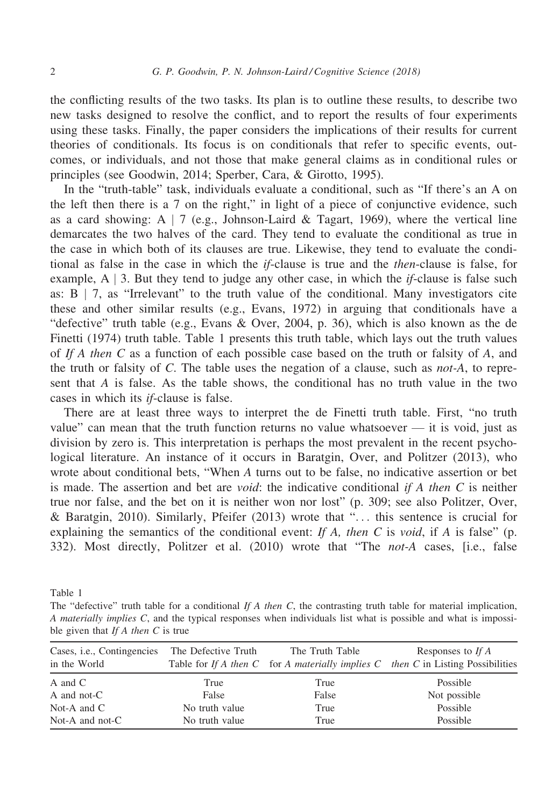the conflicting results of the two tasks. Its plan is to outline these results, to describe two new tasks designed to resolve the conflict, and to report the results of four experiments using these tasks. Finally, the paper considers the implications of their results for current theories of conditionals. Its focus is on conditionals that refer to specific events, outcomes, or individuals, and not those that make general claims as in conditional rules or principles (see Goodwin, 2014; Sperber, Cara, & Girotto, 1995).

In the "truth-table" task, individuals evaluate a conditional, such as "If there's an A on the left then there is a 7 on the right," in light of a piece of conjunctive evidence, such as a card showing: A  $\vert$  7 (e.g., Johnson-Laird & Tagart, 1969), where the vertical line demarcates the two halves of the card. They tend to evaluate the conditional as true in the case in which both of its clauses are true. Likewise, they tend to evaluate the conditional as false in the case in which the if-clause is true and the then-clause is false, for example,  $A \mid 3$ . But they tend to judge any other case, in which the *if*-clause is false such as:  $B \mid 7$ , as "Irrelevant" to the truth value of the conditional. Many investigators cite these and other similar results (e.g., Evans, 1972) in arguing that conditionals have a "defective" truth table (e.g., Evans & Over, 2004, p. 36), which is also known as the de Finetti (1974) truth table. Table 1 presents this truth table, which lays out the truth values of If A then C as a function of each possible case based on the truth or falsity of A, and the truth or falsity of C. The table uses the negation of a clause, such as *not-A*, to represent that  $A$  is false. As the table shows, the conditional has no truth value in the two cases in which its if-clause is false.

There are at least three ways to interpret the de Finetti truth table. First, "no truth value" can mean that the truth function returns no value whatsoever — it is void, just as division by zero is. This interpretation is perhaps the most prevalent in the recent psychological literature. An instance of it occurs in Baratgin, Over, and Politzer (2013), who wrote about conditional bets, "When A turns out to be false, no indicative assertion or bet is made. The assertion and bet are *void*: the indicative conditional if A then C is neither true nor false, and the bet on it is neither won nor lost" (p. 309; see also Politzer, Over, & Baratgin, 2010). Similarly, Pfeifer (2013) wrote that "... this sentence is crucial for explaining the semantics of the conditional event: If A, then C is void, if A is false" (p. 332). Most directly, Politzer et al. (2010) wrote that "The not-A cases, [i.e., false

Table 1

The "defective" truth table for a conditional If A then C, the contrasting truth table for material implication, A materially implies C, and the typical responses when individuals list what is possible and what is impossible given that If  $A$  then  $C$  is true

| Cases, <i>i.e.</i> , Contingencies<br>in the World | The Defective Truth | The Truth Table | Responses to If A<br>Table for If A then C for A materially implies C then C in Listing Possibilities |
|----------------------------------------------------|---------------------|-----------------|-------------------------------------------------------------------------------------------------------|
| A and C                                            | True                | True            | Possible                                                                                              |
| A and not-C                                        | False               | False           | Not possible                                                                                          |
| Not-A and $C$                                      | No truth value      | True            | Possible                                                                                              |
| Not-A and not- $C$                                 | No truth value      | True            | Possible                                                                                              |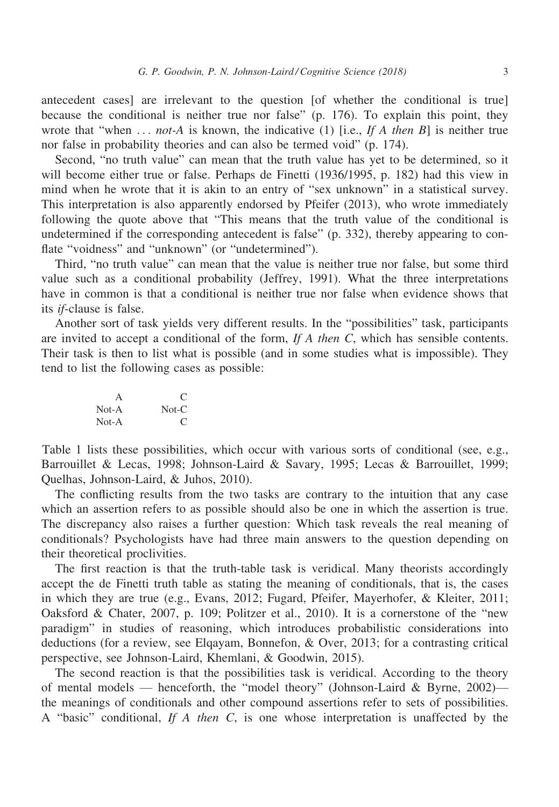antecedent cases] are irrelevant to the question [of whether the conditional is true] because the conditional is neither true nor false" (p. 176). To explain this point, they wrote that "when  $\dots$  not-A is known, the indicative (1) [i.e., If A then B] is neither true nor false in probability theories and can also be termed void" (p. 174).

Second, "no truth value" can mean that the truth value has yet to be determined, so it will become either true or false. Perhaps de Finetti (1936/1995, p. 182) had this view in mind when he wrote that it is akin to an entry of "sex unknown" in a statistical survey. This interpretation is also apparently endorsed by Pfeifer (2013), who wrote immediately following the quote above that "This means that the truth value of the conditional is undetermined if the corresponding antecedent is false" (p. 332), thereby appearing to conflate "voidness" and "unknown" (or "undetermined").

Third, "no truth value" can mean that the value is neither true nor false, but some third value such as a conditional probability (Jeffrey, 1991). What the three interpretations have in common is that a conditional is neither true nor false when evidence shows that its if-clause is false.

Another sort of task yields very different results. In the "possibilities" task, participants are invited to accept a conditional of the form, If A then C, which has sensible contents. Their task is then to list what is possible (and in some studies what is impossible). They tend to list the following cases as possible:

| A     | $\mathbf{C}$            |
|-------|-------------------------|
| Not-A | $Not-C$                 |
| Not-A | $\mathbf{\mathfrak{c}}$ |

Table 1 lists these possibilities, which occur with various sorts of conditional (see, e.g., Barrouillet & Lecas, 1998; Johnson-Laird & Savary, 1995; Lecas & Barrouillet, 1999; Quelhas, Johnson-Laird, & Juhos, 2010).

The conflicting results from the two tasks are contrary to the intuition that any case which an assertion refers to as possible should also be one in which the assertion is true. The discrepancy also raises a further question: Which task reveals the real meaning of conditionals? Psychologists have had three main answers to the question depending on their theoretical proclivities.

The first reaction is that the truth-table task is veridical. Many theorists accordingly accept the de Finetti truth table as stating the meaning of conditionals, that is, the cases in which they are true (e.g., Evans, 2012; Fugard, Pfeifer, Mayerhofer, & Kleiter, 2011; Oaksford & Chater, 2007, p. 109; Politzer et al., 2010). It is a cornerstone of the "new paradigm" in studies of reasoning, which introduces probabilistic considerations into deductions (for a review, see Elqayam, Bonnefon, & Over, 2013; for a contrasting critical perspective, see Johnson-Laird, Khemlani, & Goodwin, 2015).

The second reaction is that the possibilities task is veridical. According to the theory of mental models — henceforth, the "model theory" (Johnson-Laird & Byrne,  $2002$ ) the meanings of conditionals and other compound assertions refer to sets of possibilities. A "basic" conditional, If A then C, is one whose interpretation is unaffected by the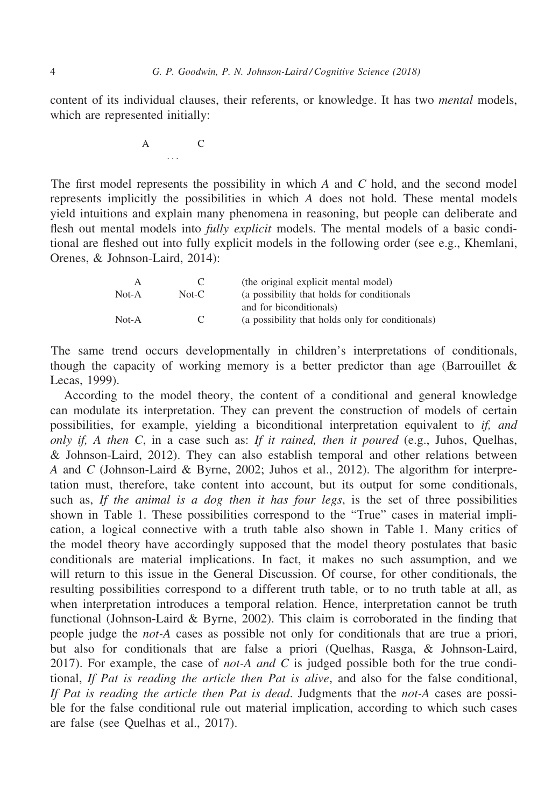content of its individual clauses, their referents, or knowledge. It has two *mental* models, which are represented initially:

> A C ...

The first model represents the possibility in which A and C hold, and the second model represents implicitly the possibilities in which A does not hold. These mental models yield intuitions and explain many phenomena in reasoning, but people can deliberate and flesh out mental models into *fully explicit* models. The mental models of a basic conditional are fleshed out into fully explicit models in the following order (see e.g., Khemlani, Orenes, & Johnson-Laird, 2014):

|       |               | (the original explicit mental model)             |
|-------|---------------|--------------------------------------------------|
| Not-A | $Not-C$       | (a possibility that holds for conditionals       |
|       |               | and for biconditionals)                          |
| Not-A | $\mathcal{C}$ | (a possibility that holds only for conditionals) |

The same trend occurs developmentally in children's interpretations of conditionals, though the capacity of working memory is a better predictor than age (Barrouillet  $\&$ Lecas, 1999).

According to the model theory, the content of a conditional and general knowledge can modulate its interpretation. They can prevent the construction of models of certain possibilities, for example, yielding a biconditional interpretation equivalent to  $if$ , and only if, A then C, in a case such as: If it rained, then it poured (e.g., Juhos, Quelhas, & Johnson-Laird, 2012). They can also establish temporal and other relations between A and C (Johnson-Laird & Byrne, 2002; Juhos et al., 2012). The algorithm for interpretation must, therefore, take content into account, but its output for some conditionals, such as, If the animal is a dog then it has four legs, is the set of three possibilities shown in Table 1. These possibilities correspond to the "True" cases in material implication, a logical connective with a truth table also shown in Table 1. Many critics of the model theory have accordingly supposed that the model theory postulates that basic conditionals are material implications. In fact, it makes no such assumption, and we will return to this issue in the General Discussion. Of course, for other conditionals, the resulting possibilities correspond to a different truth table, or to no truth table at all, as when interpretation introduces a temporal relation. Hence, interpretation cannot be truth functional (Johnson-Laird & Byrne, 2002). This claim is corroborated in the finding that people judge the not-A cases as possible not only for conditionals that are true a priori, but also for conditionals that are false a priori (Quelhas, Rasga, & Johnson-Laird, 2017). For example, the case of *not-A and C* is judged possible both for the true conditional, If Pat is reading the article then Pat is alive, and also for the false conditional, If Pat is reading the article then Pat is dead. Judgments that the not-A cases are possible for the false conditional rule out material implication, according to which such cases are false (see Quelhas et al., 2017).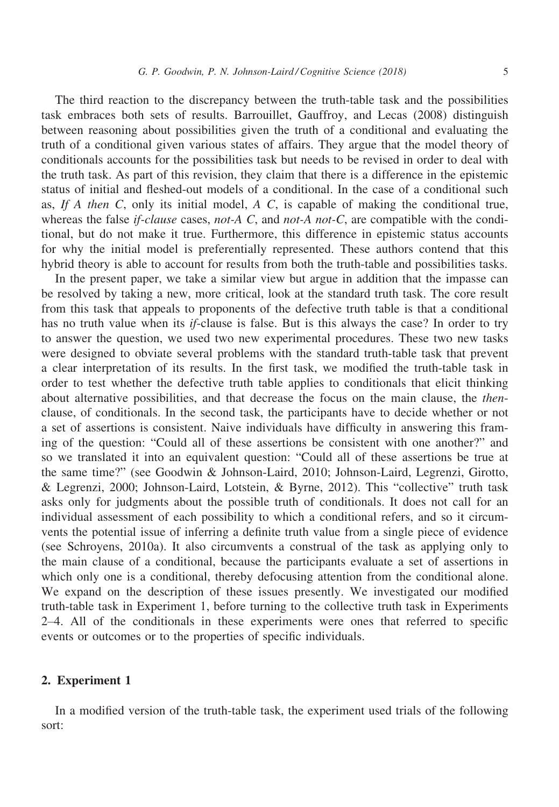The third reaction to the discrepancy between the truth-table task and the possibilities task embraces both sets of results. Barrouillet, Gauffroy, and Lecas (2008) distinguish between reasoning about possibilities given the truth of a conditional and evaluating the truth of a conditional given various states of affairs. They argue that the model theory of conditionals accounts for the possibilities task but needs to be revised in order to deal with the truth task. As part of this revision, they claim that there is a difference in the epistemic status of initial and fleshed-out models of a conditional. In the case of a conditional such as, If A then C, only its initial model,  $A \, C$ , is capable of making the conditional true, whereas the false *if-clause* cases, *not-A C*, and *not-A not-C*, are compatible with the conditional, but do not make it true. Furthermore, this difference in epistemic status accounts for why the initial model is preferentially represented. These authors contend that this hybrid theory is able to account for results from both the truth-table and possibilities tasks.

In the present paper, we take a similar view but argue in addition that the impasse can be resolved by taking a new, more critical, look at the standard truth task. The core result from this task that appeals to proponents of the defective truth table is that a conditional has no truth value when its *if*-clause is false. But is this always the case? In order to try to answer the question, we used two new experimental procedures. These two new tasks were designed to obviate several problems with the standard truth-table task that prevent a clear interpretation of its results. In the first task, we modified the truth-table task in order to test whether the defective truth table applies to conditionals that elicit thinking about alternative possibilities, and that decrease the focus on the main clause, the thenclause, of conditionals. In the second task, the participants have to decide whether or not a set of assertions is consistent. Naive individuals have difficulty in answering this framing of the question: "Could all of these assertions be consistent with one another?" and so we translated it into an equivalent question: "Could all of these assertions be true at the same time?" (see Goodwin & Johnson-Laird, 2010; Johnson-Laird, Legrenzi, Girotto, & Legrenzi, 2000; Johnson-Laird, Lotstein, & Byrne, 2012). This "collective" truth task asks only for judgments about the possible truth of conditionals. It does not call for an individual assessment of each possibility to which a conditional refers, and so it circumvents the potential issue of inferring a definite truth value from a single piece of evidence (see Schroyens, 2010a). It also circumvents a construal of the task as applying only to the main clause of a conditional, because the participants evaluate a set of assertions in which only one is a conditional, thereby defocusing attention from the conditional alone. We expand on the description of these issues presently. We investigated our modified truth-table task in Experiment 1, before turning to the collective truth task in Experiments 2–4. All of the conditionals in these experiments were ones that referred to specific events or outcomes or to the properties of specific individuals.

## 2. Experiment 1

In a modified version of the truth-table task, the experiment used trials of the following sort: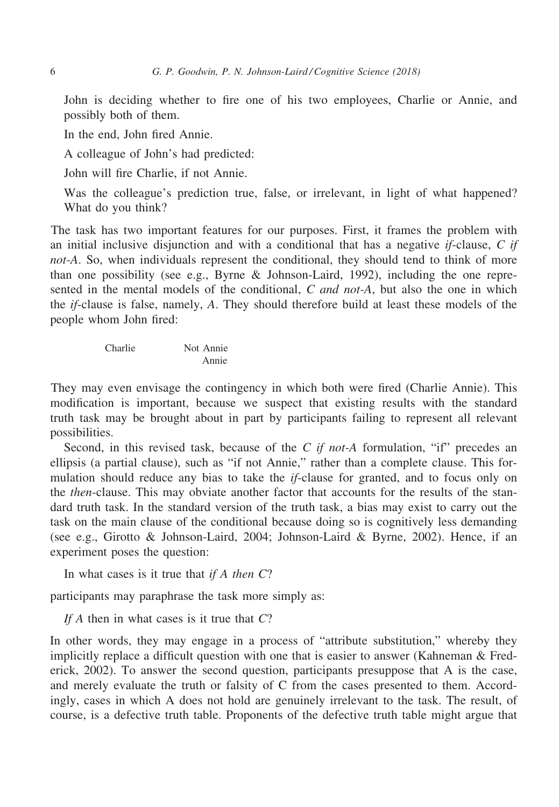John is deciding whether to fire one of his two employees, Charlie or Annie, and possibly both of them.

In the end, John fired Annie.

A colleague of John's had predicted:

John will fire Charlie, if not Annie.

Was the colleague's prediction true, false, or irrelevant, in light of what happened? What do you think?

The task has two important features for our purposes. First, it frames the problem with an initial inclusive disjunction and with a conditional that has a negative *if*-clause,  $C$  *if* not-A. So, when individuals represent the conditional, they should tend to think of more than one possibility (see e.g., Byrne  $\&$  Johnson-Laird, 1992), including the one represented in the mental models of the conditional, C and not-A, but also the one in which the if-clause is false, namely, A. They should therefore build at least these models of the people whom John fired:

> Charlie Not Annie Annie

They may even envisage the contingency in which both were fired (Charlie Annie). This modification is important, because we suspect that existing results with the standard truth task may be brought about in part by participants failing to represent all relevant possibilities.

Second, in this revised task, because of the C if not-A formulation, "if" precedes an ellipsis (a partial clause), such as "if not Annie," rather than a complete clause. This formulation should reduce any bias to take the *if*-clause for granted, and to focus only on the *then*-clause. This may obviate another factor that accounts for the results of the standard truth task. In the standard version of the truth task, a bias may exist to carry out the task on the main clause of the conditional because doing so is cognitively less demanding (see e.g., Girotto & Johnson-Laird, 2004; Johnson-Laird & Byrne, 2002). Hence, if an experiment poses the question:

In what cases is it true that if A then  $C$ ?

participants may paraphrase the task more simply as:

If A then in what cases is it true that  $C$ ?

In other words, they may engage in a process of "attribute substitution," whereby they implicitly replace a difficult question with one that is easier to answer (Kahneman & Frederick, 2002). To answer the second question, participants presuppose that A is the case, and merely evaluate the truth or falsity of C from the cases presented to them. Accordingly, cases in which A does not hold are genuinely irrelevant to the task. The result, of course, is a defective truth table. Proponents of the defective truth table might argue that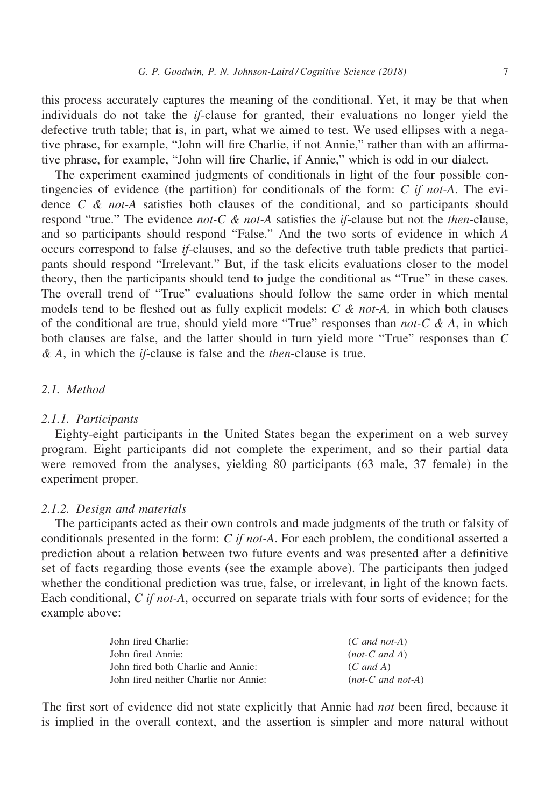this process accurately captures the meaning of the conditional. Yet, it may be that when individuals do not take the if-clause for granted, their evaluations no longer yield the defective truth table; that is, in part, what we aimed to test. We used ellipses with a negative phrase, for example, "John will fire Charlie, if not Annie," rather than with an affirmative phrase, for example, "John will fire Charlie, if Annie," which is odd in our dialect.

The experiment examined judgments of conditionals in light of the four possible contingencies of evidence (the partition) for conditionals of the form: C if not-A. The evidence  $C \&$  not-A satisfies both clauses of the conditional, and so participants should respond "true." The evidence *not-C & not-A* satisfies the *if-clause* but not the *then-clause*, and so participants should respond "False." And the two sorts of evidence in which A occurs correspond to false if-clauses, and so the defective truth table predicts that participants should respond "Irrelevant." But, if the task elicits evaluations closer to the model theory, then the participants should tend to judge the conditional as "True" in these cases. The overall trend of "True" evaluations should follow the same order in which mental models tend to be fleshed out as fully explicit models:  $C \& not-A$ , in which both clauses of the conditional are true, should yield more "True" responses than *not-C & A*, in which both clauses are false, and the latter should in turn yield more "True" responses than C  $\& A$ , in which the *if*-clause is false and the *then*-clause is true.

## 2.1. Method

#### 2.1.1. Participants

Eighty-eight participants in the United States began the experiment on a web survey program. Eight participants did not complete the experiment, and so their partial data were removed from the analyses, yielding 80 participants (63 male, 37 female) in the experiment proper.

#### 2.1.2. Design and materials

The participants acted as their own controls and made judgments of the truth or falsity of conditionals presented in the form: C if not-A. For each problem, the conditional asserted a prediction about a relation between two future events and was presented after a definitive set of facts regarding those events (see the example above). The participants then judged whether the conditional prediction was true, false, or irrelevant, in light of the known facts. Each conditional, C if not-A, occurred on separate trials with four sorts of evidence; for the example above:

| John fired Charlie:                   | $(C \text{ and not-}A)$ |
|---------------------------------------|-------------------------|
| John fired Annie:                     | $(not-C$ and A)         |
| John fired both Charlie and Annie:    | $(C \text{ and } A)$    |
| John fired neither Charlie nor Annie: | $(not-C$ and not-A)     |

The first sort of evidence did not state explicitly that Annie had *not* been fired, because it is implied in the overall context, and the assertion is simpler and more natural without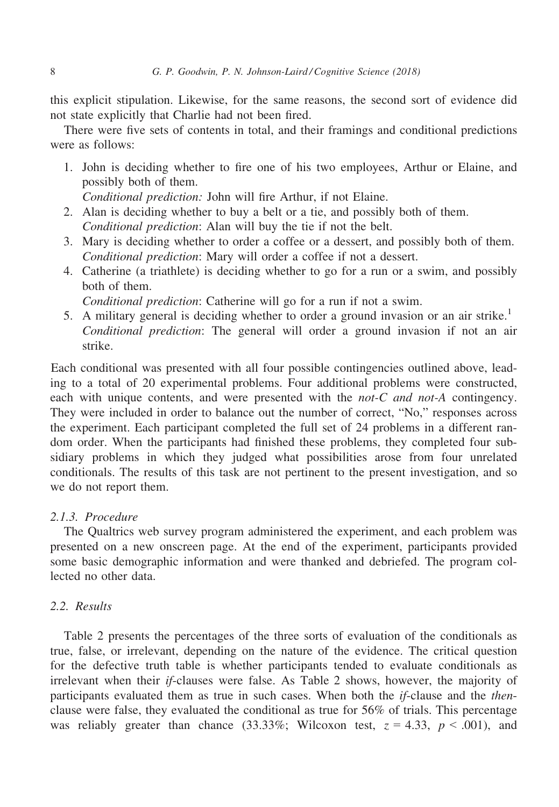this explicit stipulation. Likewise, for the same reasons, the second sort of evidence did not state explicitly that Charlie had not been fired.

There were five sets of contents in total, and their framings and conditional predictions were as follows:

1. John is deciding whether to fire one of his two employees, Arthur or Elaine, and possibly both of them.

Conditional prediction: John will fire Arthur, if not Elaine.

- 2. Alan is deciding whether to buy a belt or a tie, and possibly both of them. Conditional prediction: Alan will buy the tie if not the belt.
- 3. Mary is deciding whether to order a coffee or a dessert, and possibly both of them. Conditional prediction: Mary will order a coffee if not a dessert.
- 4. Catherine (a triathlete) is deciding whether to go for a run or a swim, and possibly both of them.

Conditional prediction: Catherine will go for a run if not a swim.

5. A military general is deciding whether to order a ground invasion or an air strike.<sup>1</sup> Conditional prediction: The general will order a ground invasion if not an air strike.

Each conditional was presented with all four possible contingencies outlined above, leading to a total of 20 experimental problems. Four additional problems were constructed, each with unique contents, and were presented with the *not-C and not-A* contingency. They were included in order to balance out the number of correct, "No," responses across the experiment. Each participant completed the full set of 24 problems in a different random order. When the participants had finished these problems, they completed four subsidiary problems in which they judged what possibilities arose from four unrelated conditionals. The results of this task are not pertinent to the present investigation, and so we do not report them.

## 2.1.3. Procedure

The Qualtrics web survey program administered the experiment, and each problem was presented on a new onscreen page. At the end of the experiment, participants provided some basic demographic information and were thanked and debriefed. The program collected no other data.

## 2.2. Results

Table 2 presents the percentages of the three sorts of evaluation of the conditionals as true, false, or irrelevant, depending on the nature of the evidence. The critical question for the defective truth table is whether participants tended to evaluate conditionals as irrelevant when their if-clauses were false. As Table 2 shows, however, the majority of participants evaluated them as true in such cases. When both the *if*-clause and the *then*clause were false, they evaluated the conditional as true for 56% of trials. This percentage was reliably greater than chance  $(33.33\%;$  Wilcoxon test,  $z = 4.33, p < .001$ , and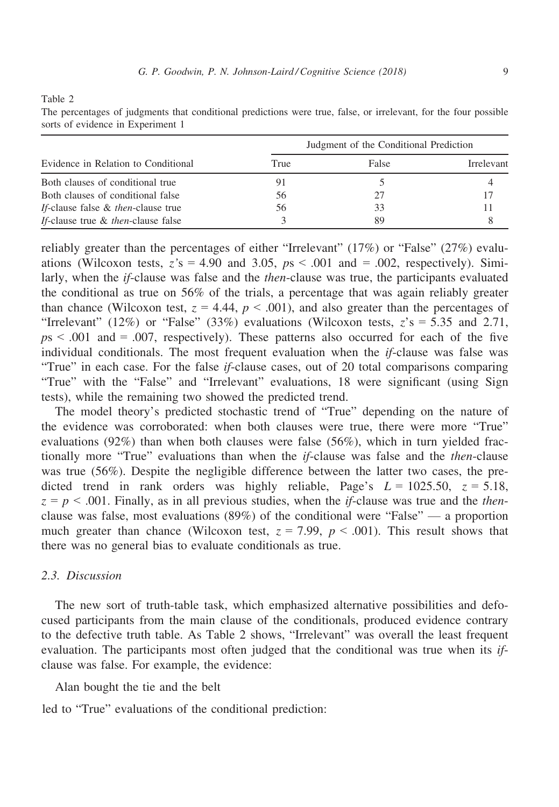Table 2

The percentages of judgments that conditional predictions were true, false, or irrelevant, for the four possible sorts of evidence in Experiment 1

|                                                    | Judgment of the Conditional Prediction |       |                   |
|----------------------------------------------------|----------------------------------------|-------|-------------------|
| Evidence in Relation to Conditional                | True                                   | False | <b>Irrelevant</b> |
| Both clauses of conditional true                   | 91                                     |       |                   |
| Both clauses of conditional false                  | 56                                     | 27    | 17                |
| <i>If</i> -clause false & <i>then</i> -clause true | 56                                     | 33    |                   |
| <i>If-clause true &amp; then-clause false</i>      |                                        | 89    |                   |

reliably greater than the percentages of either "Irrelevant" (17%) or "False" (27%) evaluations (Wilcoxon tests,  $z's = 4.90$  and 3.05,  $ps < .001$  and  $= .002$ , respectively). Similarly, when the if-clause was false and the then-clause was true, the participants evaluated the conditional as true on 56% of the trials, a percentage that was again reliably greater than chance (Wilcoxon test,  $z = 4.44$ ,  $p < .001$ ), and also greater than the percentages of "Irrelevant" (12%) or "False" (33%) evaluations (Wilcoxon tests,  $z$ 's = 5.35 and 2.71,  $ps < .001$  and  $= .007$ , respectively). These patterns also occurred for each of the five individual conditionals. The most frequent evaluation when the  $if$ -clause was false was "True" in each case. For the false if-clause cases, out of 20 total comparisons comparing "True" with the "False" and "Irrelevant" evaluations, 18 were significant (using Sign tests), while the remaining two showed the predicted trend.

The model theory's predicted stochastic trend of "True" depending on the nature of the evidence was corroborated: when both clauses were true, there were more "True" evaluations (92%) than when both clauses were false (56%), which in turn yielded fractionally more "True" evaluations than when the if-clause was false and the then-clause was true (56%). Despite the negligible difference between the latter two cases, the predicted trend in rank orders was highly reliable, Page's  $L = 1025.50$ ,  $z = 5.18$ ,  $z = p \lt 0.001$ . Finally, as in all previous studies, when the *if*-clause was true and the *then*clause was false, most evaluations  $(89%)$  of the conditional were "False" — a proportion much greater than chance (Wilcoxon test,  $z = 7.99$ ,  $p < .001$ ). This result shows that there was no general bias to evaluate conditionals as true.

## 2.3. Discussion

The new sort of truth-table task, which emphasized alternative possibilities and defocused participants from the main clause of the conditionals, produced evidence contrary to the defective truth table. As Table 2 shows, "Irrelevant" was overall the least frequent evaluation. The participants most often judged that the conditional was true when its *if*clause was false. For example, the evidence:

## Alan bought the tie and the belt

led to "True" evaluations of the conditional prediction: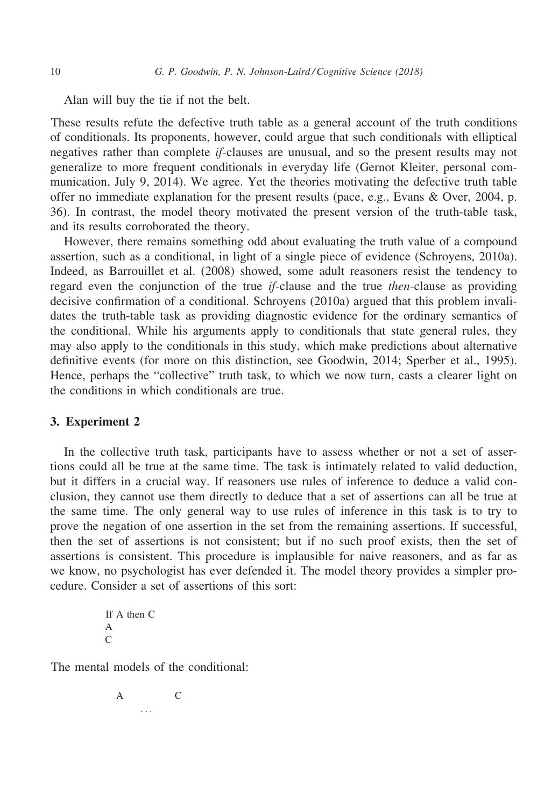Alan will buy the tie if not the belt.

These results refute the defective truth table as a general account of the truth conditions of conditionals. Its proponents, however, could argue that such conditionals with elliptical negatives rather than complete if-clauses are unusual, and so the present results may not generalize to more frequent conditionals in everyday life (Gernot Kleiter, personal communication, July 9, 2014). We agree. Yet the theories motivating the defective truth table offer no immediate explanation for the present results (pace, e.g., Evans & Over, 2004, p. 36). In contrast, the model theory motivated the present version of the truth-table task, and its results corroborated the theory.

However, there remains something odd about evaluating the truth value of a compound assertion, such as a conditional, in light of a single piece of evidence (Schroyens, 2010a). Indeed, as Barrouillet et al. (2008) showed, some adult reasoners resist the tendency to regard even the conjunction of the true *if*-clause and the true *then*-clause as providing decisive confirmation of a conditional. Schroyens (2010a) argued that this problem invalidates the truth-table task as providing diagnostic evidence for the ordinary semantics of the conditional. While his arguments apply to conditionals that state general rules, they may also apply to the conditionals in this study, which make predictions about alternative definitive events (for more on this distinction, see Goodwin, 2014; Sperber et al., 1995). Hence, perhaps the "collective" truth task, to which we now turn, casts a clearer light on the conditions in which conditionals are true.

#### 3. Experiment 2

In the collective truth task, participants have to assess whether or not a set of assertions could all be true at the same time. The task is intimately related to valid deduction, but it differs in a crucial way. If reasoners use rules of inference to deduce a valid conclusion, they cannot use them directly to deduce that a set of assertions can all be true at the same time. The only general way to use rules of inference in this task is to try to prove the negation of one assertion in the set from the remaining assertions. If successful, then the set of assertions is not consistent; but if no such proof exists, then the set of assertions is consistent. This procedure is implausible for naive reasoners, and as far as we know, no psychologist has ever defended it. The model theory provides a simpler procedure. Consider a set of assertions of this sort:

> If A then C A  $\mathcal{C}$

The mental models of the conditional:

A C ...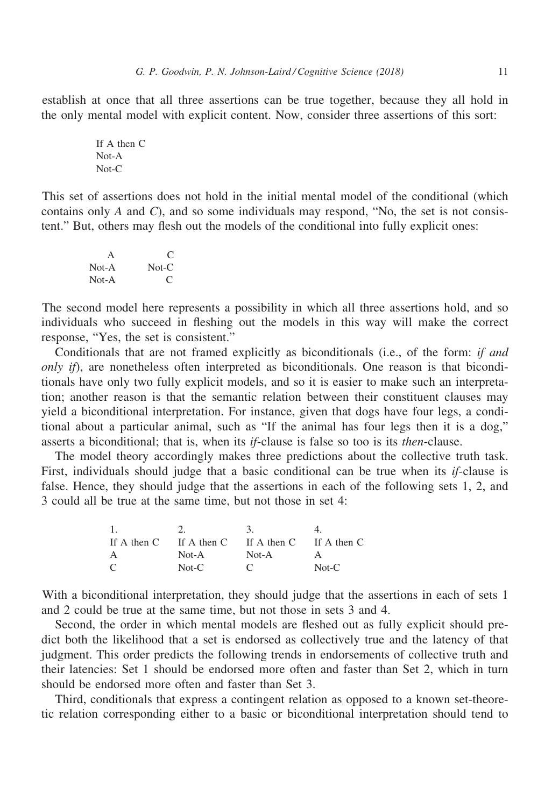establish at once that all three assertions can be true together, because they all hold in the only mental model with explicit content. Now, consider three assertions of this sort:

```
If A then C
Not-A
Not-C
```
This set of assertions does not hold in the initial mental model of the conditional (which contains only  $A$  and  $C$ ), and so some individuals may respond, "No, the set is not consistent." But, others may flesh out the models of the conditional into fully explicit ones:

| А     | C                       |
|-------|-------------------------|
| Not-A | $Not-C$                 |
| Not-A | $\mathbf{\mathfrak{c}}$ |

The second model here represents a possibility in which all three assertions hold, and so individuals who succeed in fleshing out the models in this way will make the correct response, "Yes, the set is consistent."

Conditionals that are not framed explicitly as biconditionals (i.e., of the form: if and only if), are nonetheless often interpreted as biconditionals. One reason is that biconditionals have only two fully explicit models, and so it is easier to make such an interpretation; another reason is that the semantic relation between their constituent clauses may yield a biconditional interpretation. For instance, given that dogs have four legs, a conditional about a particular animal, such as "If the animal has four legs then it is a dog," asserts a biconditional; that is, when its if-clause is false so too is its then-clause.

The model theory accordingly makes three predictions about the collective truth task. First, individuals should judge that a basic conditional can be true when its if-clause is false. Hence, they should judge that the assertions in each of the following sets 1, 2, and 3 could all be true at the same time, but not those in set 4:

| If A then C | If A then C | If A then $C$ If A then $C$ |         |
|-------------|-------------|-----------------------------|---------|
| А           | Not-A       | Not-A                       |         |
| C           | $Not-C$     |                             | $Not-C$ |

With a biconditional interpretation, they should judge that the assertions in each of sets 1 and 2 could be true at the same time, but not those in sets 3 and 4.

Second, the order in which mental models are fleshed out as fully explicit should predict both the likelihood that a set is endorsed as collectively true and the latency of that judgment. This order predicts the following trends in endorsements of collective truth and their latencies: Set 1 should be endorsed more often and faster than Set 2, which in turn should be endorsed more often and faster than Set 3.

Third, conditionals that express a contingent relation as opposed to a known set-theoretic relation corresponding either to a basic or biconditional interpretation should tend to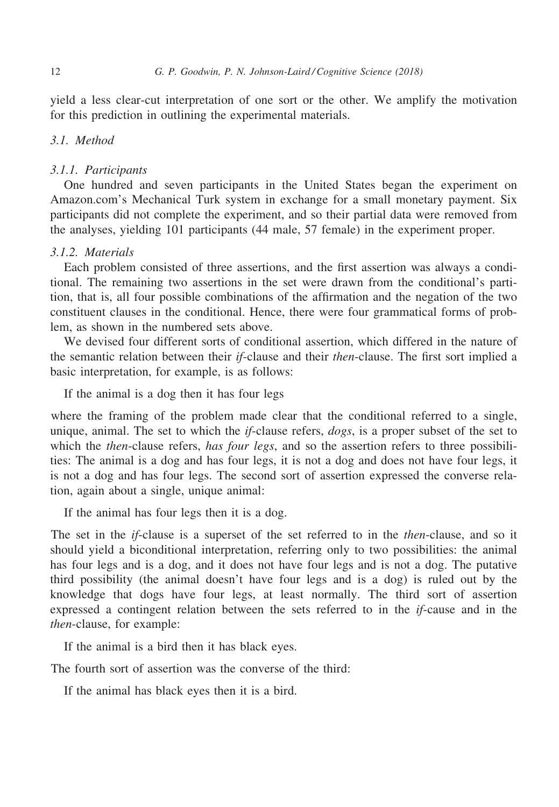yield a less clear-cut interpretation of one sort or the other. We amplify the motivation for this prediction in outlining the experimental materials.

## 3.1. Method

## 3.1.1. Participants

One hundred and seven participants in the United States began the experiment on Amazon.com's Mechanical Turk system in exchange for a small monetary payment. Six participants did not complete the experiment, and so their partial data were removed from the analyses, yielding 101 participants (44 male, 57 female) in the experiment proper.

## 3.1.2. Materials

Each problem consisted of three assertions, and the first assertion was always a conditional. The remaining two assertions in the set were drawn from the conditional's partition, that is, all four possible combinations of the affirmation and the negation of the two constituent clauses in the conditional. Hence, there were four grammatical forms of problem, as shown in the numbered sets above.

We devised four different sorts of conditional assertion, which differed in the nature of the semantic relation between their *if*-clause and their *then*-clause. The first sort implied a basic interpretation, for example, is as follows:

If the animal is a dog then it has four legs

where the framing of the problem made clear that the conditional referred to a single, unique, animal. The set to which the  $if$ -clause refers,  $dogs$ , is a proper subset of the set to which the *then-clause refers, has four legs, and so the assertion refers to three possibili*ties: The animal is a dog and has four legs, it is not a dog and does not have four legs, it is not a dog and has four legs. The second sort of assertion expressed the converse relation, again about a single, unique animal:

If the animal has four legs then it is a dog.

The set in the *if*-clause is a superset of the set referred to in the *then*-clause, and so it should yield a biconditional interpretation, referring only to two possibilities: the animal has four legs and is a dog, and it does not have four legs and is not a dog. The putative third possibility (the animal doesn't have four legs and is a dog) is ruled out by the knowledge that dogs have four legs, at least normally. The third sort of assertion expressed a contingent relation between the sets referred to in the if-cause and in the then-clause, for example:

If the animal is a bird then it has black eyes.

The fourth sort of assertion was the converse of the third:

If the animal has black eyes then it is a bird.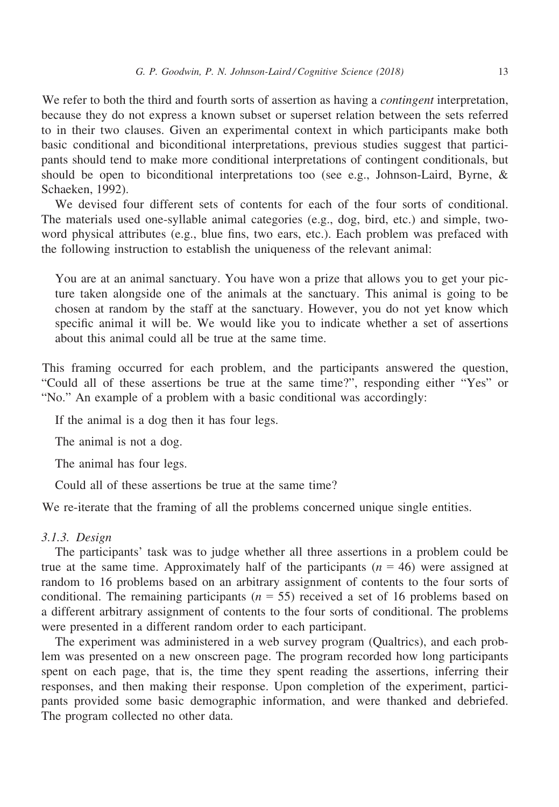We refer to both the third and fourth sorts of assertion as having a *contingent* interpretation, because they do not express a known subset or superset relation between the sets referred to in their two clauses. Given an experimental context in which participants make both basic conditional and biconditional interpretations, previous studies suggest that participants should tend to make more conditional interpretations of contingent conditionals, but should be open to biconditional interpretations too (see e.g., Johnson-Laird, Byrne, & Schaeken, 1992).

We devised four different sets of contents for each of the four sorts of conditional. The materials used one-syllable animal categories (e.g., dog, bird, etc.) and simple, twoword physical attributes (e.g., blue fins, two ears, etc.). Each problem was prefaced with the following instruction to establish the uniqueness of the relevant animal:

You are at an animal sanctuary. You have won a prize that allows you to get your picture taken alongside one of the animals at the sanctuary. This animal is going to be chosen at random by the staff at the sanctuary. However, you do not yet know which specific animal it will be. We would like you to indicate whether a set of assertions about this animal could all be true at the same time.

This framing occurred for each problem, and the participants answered the question, "Could all of these assertions be true at the same time?", responding either "Yes" or "No." An example of a problem with a basic conditional was accordingly:

If the animal is a dog then it has four legs.

The animal is not a dog.

The animal has four legs.

Could all of these assertions be true at the same time?

We re-iterate that the framing of all the problems concerned unique single entities.

## 3.1.3. Design

The participants' task was to judge whether all three assertions in a problem could be true at the same time. Approximately half of the participants ( $n = 46$ ) were assigned at random to 16 problems based on an arbitrary assignment of contents to the four sorts of conditional. The remaining participants ( $n = 55$ ) received a set of 16 problems based on a different arbitrary assignment of contents to the four sorts of conditional. The problems were presented in a different random order to each participant.

The experiment was administered in a web survey program (Qualtrics), and each problem was presented on a new onscreen page. The program recorded how long participants spent on each page, that is, the time they spent reading the assertions, inferring their responses, and then making their response. Upon completion of the experiment, participants provided some basic demographic information, and were thanked and debriefed. The program collected no other data.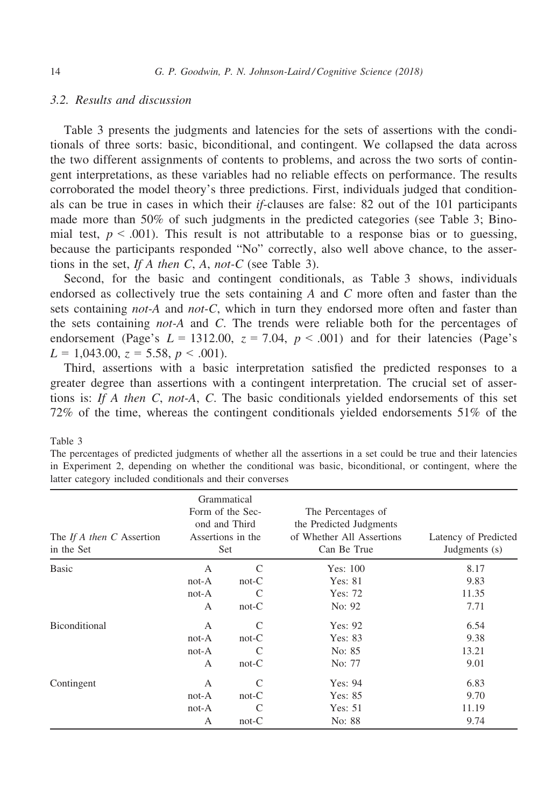## 3.2. Results and discussion

Table 3 presents the judgments and latencies for the sets of assertions with the conditionals of three sorts: basic, biconditional, and contingent. We collapsed the data across the two different assignments of contents to problems, and across the two sorts of contingent interpretations, as these variables had no reliable effects on performance. The results corroborated the model theory's three predictions. First, individuals judged that conditionals can be true in cases in which their if-clauses are false: 82 out of the 101 participants made more than 50% of such judgments in the predicted categories (see Table 3; Binomial test,  $p < .001$ ). This result is not attributable to a response bias or to guessing, because the participants responded "No" correctly, also well above chance, to the assertions in the set, If A then C, A, not-C (see Table 3).

Second, for the basic and contingent conditionals, as Table 3 shows, individuals endorsed as collectively true the sets containing  $A$  and  $C$  more often and faster than the sets containing *not-A* and *not-C*, which in turn they endorsed more often and faster than the sets containing not-A and C. The trends were reliable both for the percentages of endorsement (Page's  $L = 1312.00$ ,  $z = 7.04$ ,  $p < .001$ ) and for their latencies (Page's  $L = 1,043.00, z = 5.58, p < .001$ .

Third, assertions with a basic interpretation satisfied the predicted responses to a greater degree than assertions with a contingent interpretation. The crucial set of assertions is: If A then C, not-A, C. The basic conditionals yielded endorsements of this set 72% of the time, whereas the contingent conditionals yielded endorsements 51% of the

#### Table 3

The percentages of predicted judgments of whether all the assertions in a set could be true and their latencies in Experiment 2, depending on whether the conditional was basic, biconditional, or contingent, where the latter category included conditionals and their converses

| The If A then C Assertion<br>in the Set |              | Grammatical<br>Form of the Sec-<br>ond and Third<br>Assertions in the<br>Set | The Percentages of<br>the Predicted Judgments<br>of Whether All Assertions<br>Can Be True | Latency of Predicted<br>Judgments $(s)$ |
|-----------------------------------------|--------------|------------------------------------------------------------------------------|-------------------------------------------------------------------------------------------|-----------------------------------------|
| Basic                                   | A            | $\mathcal{C}$                                                                | Yes: $100$                                                                                | 8.17                                    |
|                                         | $not-A$      | $not-C$                                                                      | Yes: $81$                                                                                 | 9.83                                    |
|                                         | $not-A$      | C                                                                            | Yes: 72                                                                                   | 11.35                                   |
|                                         | A            | $not-C$                                                                      | No: 92                                                                                    | 7.71                                    |
| Biconditional                           | $\mathsf{A}$ | C                                                                            | Yes: 92                                                                                   | 6.54                                    |
|                                         | $not-A$      | $not-C$                                                                      | Yes: $83$                                                                                 | 9.38                                    |
|                                         | $not-A$      | C                                                                            | No: 85                                                                                    | 13.21                                   |
|                                         | A            | $not-C$                                                                      | No: 77                                                                                    | 9.01                                    |
| Contingent                              | A            | C                                                                            | Yes: 94                                                                                   | 6.83                                    |
|                                         | $not-A$      | $not-C$                                                                      | Yes: $85$                                                                                 | 9.70                                    |
|                                         | $not-A$      | C                                                                            | Yes: $51$                                                                                 | 11.19                                   |
|                                         | A            | $not-C$                                                                      | No: 88                                                                                    | 9.74                                    |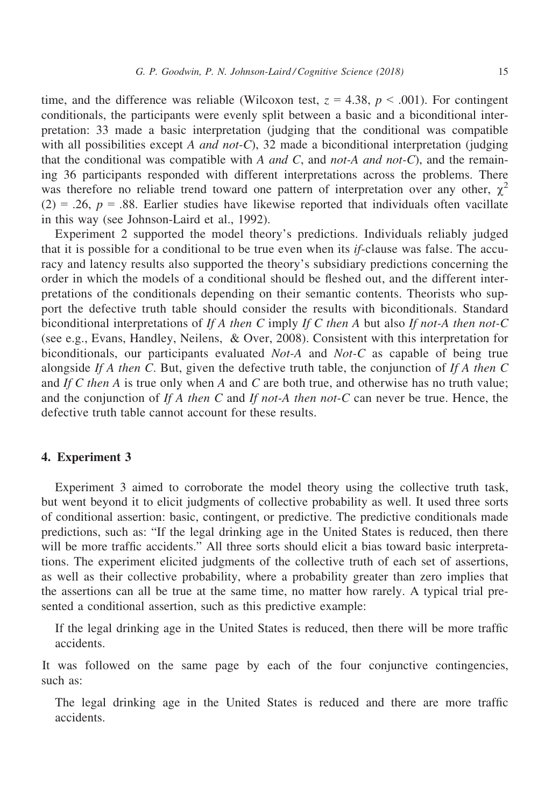time, and the difference was reliable (Wilcoxon test,  $z = 4.38$ ,  $p < .001$ ). For contingent conditionals, the participants were evenly split between a basic and a biconditional interpretation: 33 made a basic interpretation (judging that the conditional was compatible with all possibilities except A and not-C), 32 made a biconditional interpretation (judging that the conditional was compatible with A and C, and not-A and not-C), and the remaining 36 participants responded with different interpretations across the problems. There was therefore no reliable trend toward one pattern of interpretation over any other,  $\chi^2$  $(2) = .26$ ,  $p = .88$ . Earlier studies have likewise reported that individuals often vacillate in this way (see Johnson-Laird et al., 1992).

Experiment 2 supported the model theory's predictions. Individuals reliably judged that it is possible for a conditional to be true even when its if-clause was false. The accuracy and latency results also supported the theory's subsidiary predictions concerning the order in which the models of a conditional should be fleshed out, and the different interpretations of the conditionals depending on their semantic contents. Theorists who support the defective truth table should consider the results with biconditionals. Standard biconditional interpretations of If A then C imply If C then A but also If not-A then not-C (see e.g., Evans, Handley, Neilens, & Over, 2008). Consistent with this interpretation for biconditionals, our participants evaluated Not-A and Not-C as capable of being true alongside If A then C. But, given the defective truth table, the conjunction of If A then C and If C then A is true only when A and C are both true, and otherwise has no truth value; and the conjunction of If A then C and If not-A then not-C can never be true. Hence, the defective truth table cannot account for these results.

## 4. Experiment 3

Experiment 3 aimed to corroborate the model theory using the collective truth task, but went beyond it to elicit judgments of collective probability as well. It used three sorts of conditional assertion: basic, contingent, or predictive. The predictive conditionals made predictions, such as: "If the legal drinking age in the United States is reduced, then there will be more traffic accidents." All three sorts should elicit a bias toward basic interpretations. The experiment elicited judgments of the collective truth of each set of assertions, as well as their collective probability, where a probability greater than zero implies that the assertions can all be true at the same time, no matter how rarely. A typical trial presented a conditional assertion, such as this predictive example:

If the legal drinking age in the United States is reduced, then there will be more traffic accidents.

It was followed on the same page by each of the four conjunctive contingencies, such as:

The legal drinking age in the United States is reduced and there are more traffic accidents.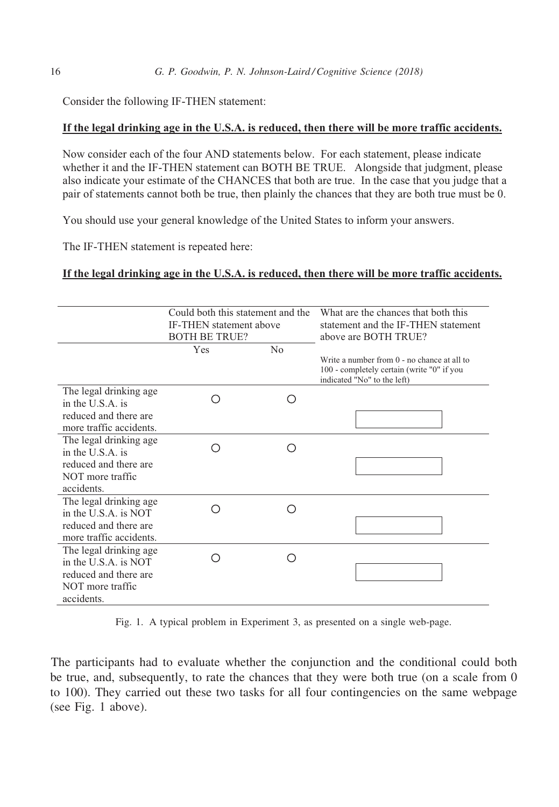Consider the following IF-THEN statement:

#### **If the legal drinking age in the U.S.A. is reduced, then there will be more traffic accidents.**

Now consider each of the four AND statements below. For each statement, please indicate whether it and the IF-THEN statement can BOTH BE TRUE. Alongside that judgment, please also indicate your estimate of the CHANCES that both are true. In the case that you judge that a pair of statements cannot both be true, then plainly the chances that they are both true must be 0.

You should use your general knowledge of the United States to inform your answers.

The IF-THEN statement is repeated here:

#### **If the legal drinking age in the U.S.A. is reduced, then there will be more traffic accidents.**

|                                                                                                            | Could both this statement and the<br><b>IF-THEN</b> statement above<br><b>BOTH BE TRUE?</b> |                | What are the chances that both this<br>statement and the IF-THEN statement<br>above are BOTH TRUE?                       |
|------------------------------------------------------------------------------------------------------------|---------------------------------------------------------------------------------------------|----------------|--------------------------------------------------------------------------------------------------------------------------|
|                                                                                                            | Yes                                                                                         | N <sub>o</sub> | Write a number from 0 - no chance at all to<br>100 - completely certain (write "0" if you<br>indicated "No" to the left) |
| The legal drinking age<br>in the U.S.A. is<br>reduced and there are<br>more traffic accidents.             |                                                                                             |                |                                                                                                                          |
| The legal drinking age<br>in the U.S.A. is<br>reduced and there are<br>NOT more traffic<br>accidents.      |                                                                                             | ດ              |                                                                                                                          |
| The legal drinking age.<br>in the U.S.A. is NOT<br>reduced and there are<br>more traffic accidents.        |                                                                                             |                |                                                                                                                          |
| The legal drinking age.<br>in the U.S.A. is NOT<br>reduced and there are<br>NOT more traffic<br>accidents. |                                                                                             |                |                                                                                                                          |

Fig. 1. A typical problem in Experiment 3, as presented on a single web-page.

The participants had to evaluate whether the conjunction and the conditional could both be true, and, subsequently, to rate the chances that they were both true (on a scale from 0 to 100). They carried out these two tasks for all four contingencies on the same webpage (see Fig. 1 above).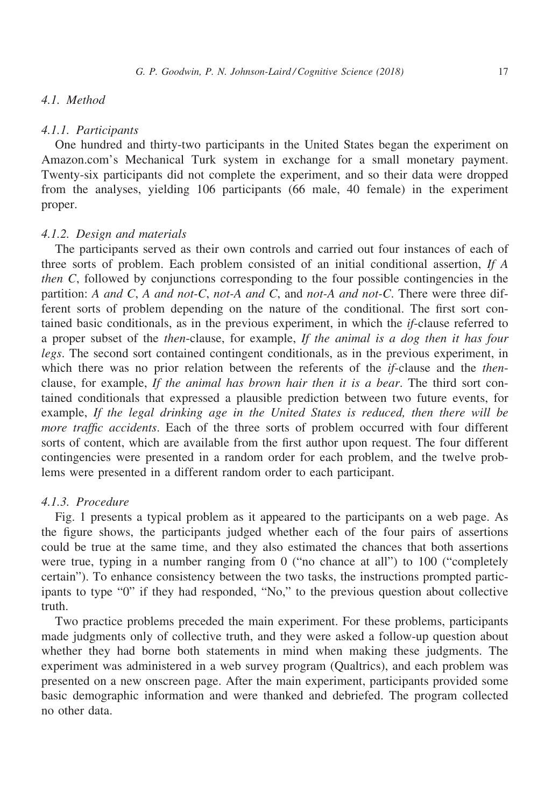## 4.1. Method

#### 4.1.1. Participants

One hundred and thirty-two participants in the United States began the experiment on Amazon.com's Mechanical Turk system in exchange for a small monetary payment. Twenty-six participants did not complete the experiment, and so their data were dropped from the analyses, yielding 106 participants (66 male, 40 female) in the experiment proper.

## 4.1.2. Design and materials

The participants served as their own controls and carried out four instances of each of three sorts of problem. Each problem consisted of an initial conditional assertion, If A then C, followed by conjunctions corresponding to the four possible contingencies in the partition: A and C, A and not-C, not-A and C, and not-A and not-C. There were three different sorts of problem depending on the nature of the conditional. The first sort contained basic conditionals, as in the previous experiment, in which the if-clause referred to a proper subset of the then-clause, for example, If the animal is a dog then it has four legs. The second sort contained contingent conditionals, as in the previous experiment, in which there was no prior relation between the referents of the *if*-clause and the *then*clause, for example, If the animal has brown hair then it is a bear. The third sort contained conditionals that expressed a plausible prediction between two future events, for example, If the legal drinking age in the United States is reduced, then there will be more traffic accidents. Each of the three sorts of problem occurred with four different sorts of content, which are available from the first author upon request. The four different contingencies were presented in a random order for each problem, and the twelve problems were presented in a different random order to each participant.

## 4.1.3. Procedure

Fig. 1 presents a typical problem as it appeared to the participants on a web page. As the figure shows, the participants judged whether each of the four pairs of assertions could be true at the same time, and they also estimated the chances that both assertions were true, typing in a number ranging from 0 ("no chance at all") to 100 ("completely certain"). To enhance consistency between the two tasks, the instructions prompted participants to type "0" if they had responded, "No," to the previous question about collective truth.

Two practice problems preceded the main experiment. For these problems, participants made judgments only of collective truth, and they were asked a follow-up question about whether they had borne both statements in mind when making these judgments. The experiment was administered in a web survey program (Qualtrics), and each problem was presented on a new onscreen page. After the main experiment, participants provided some basic demographic information and were thanked and debriefed. The program collected no other data.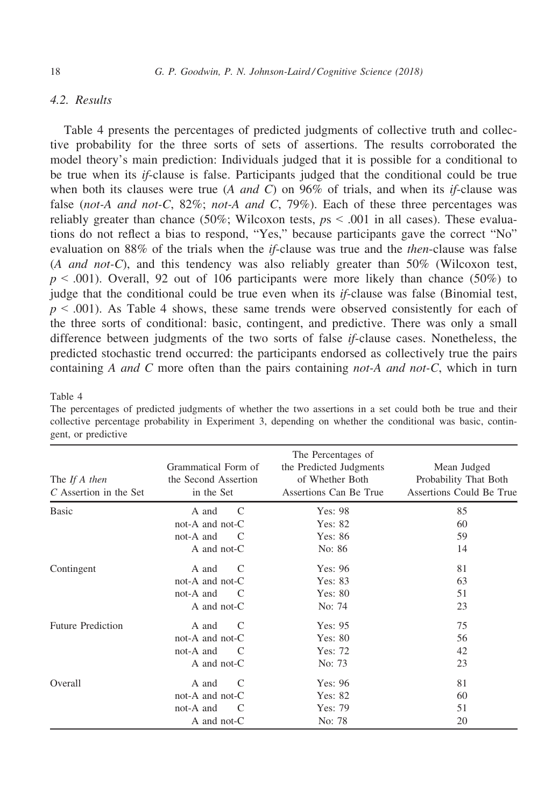## 4.2. Results

Table 4 presents the percentages of predicted judgments of collective truth and collective probability for the three sorts of sets of assertions. The results corroborated the model theory's main prediction: Individuals judged that it is possible for a conditional to be true when its if-clause is false. Participants judged that the conditional could be true when both its clauses were true (A and C) on 96% of trials, and when its *if*-clause was false (not-A and not-C,  $82\%$ ; not-A and C,  $79\%$ ). Each of these three percentages was reliably greater than chance  $(50\%;$  Wilcoxon tests,  $ps < .001$  in all cases). These evaluations do not reflect a bias to respond, "Yes," because participants gave the correct "No" evaluation on  $88\%$  of the trials when the *if*-clause was true and the *then*-clause was false (A and not-C), and this tendency was also reliably greater than 50% (Wilcoxon test,  $p \leq 0.001$ ). Overall, 92 out of 106 participants were more likely than chance (50%) to judge that the conditional could be true even when its if-clause was false (Binomial test,  $p \leq 0.001$ ). As Table 4 shows, these same trends were observed consistently for each of the three sorts of conditional: basic, contingent, and predictive. There was only a small difference between judgments of the two sorts of false if-clause cases. Nonetheless, the predicted stochastic trend occurred: the participants endorsed as collectively true the pairs containing A and C more often than the pairs containing not-A and not-C, which in turn

Table 4

The percentages of predicted judgments of whether the two assertions in a set could both be true and their collective percentage probability in Experiment 3, depending on whether the conditional was basic, contingent, or predictive

| The If A then<br>C Assertion in the Set | Grammatical Form of<br>the Second Assertion<br>in the Set | The Percentages of<br>the Predicted Judgments<br>of Whether Both<br>Assertions Can Be True | Mean Judged<br>Probability That Both<br>Assertions Could Be True |
|-----------------------------------------|-----------------------------------------------------------|--------------------------------------------------------------------------------------------|------------------------------------------------------------------|
| <b>Basic</b>                            | C<br>A and                                                | Yes: 98                                                                                    | 85                                                               |
|                                         | not- $A$ and not- $C$                                     | Yes: 82                                                                                    | 60                                                               |
|                                         | not-A and<br>C                                            | Yes: 86                                                                                    | 59                                                               |
|                                         | A and not-C                                               | No: 86                                                                                     | 14                                                               |
| Contingent                              | C<br>A and                                                | Yes: 96                                                                                    | 81                                                               |
|                                         | not- $A$ and not- $C$                                     | Yes: $83$                                                                                  | 63                                                               |
|                                         | not-A and<br>C                                            | Yes: $80$                                                                                  | 51                                                               |
|                                         | A and not-C                                               | No: 74                                                                                     | 23                                                               |
| <b>Future Prediction</b>                | A and<br>C                                                | Yes: 95                                                                                    | 75                                                               |
|                                         | not- $A$ and not- $C$                                     | Yes: $80$                                                                                  | 56                                                               |
|                                         | not-A and<br>C                                            | Yes: 72                                                                                    | 42                                                               |
|                                         | A and not-C                                               | No: 73                                                                                     | 23                                                               |
| Overall                                 | C<br>A and                                                | Yes: 96                                                                                    | 81                                                               |
|                                         | not-A and not-C                                           | Yes: 82                                                                                    | 60                                                               |
|                                         | not-A and<br>C                                            | Yes: 79                                                                                    | 51                                                               |
|                                         | A and not-C                                               | No: 78                                                                                     | 20                                                               |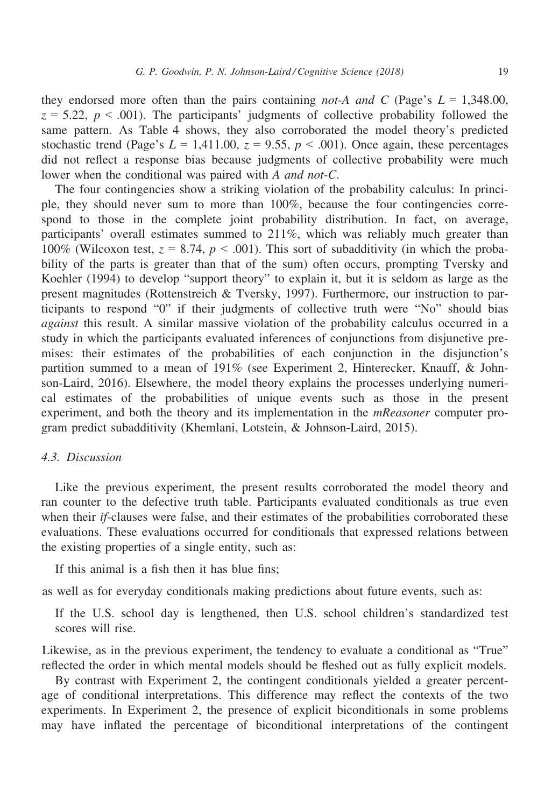they endorsed more often than the pairs containing *not-A and C* (Page's  $L = 1,348.00$ ,  $z = 5.22$ ,  $p < .001$ ). The participants' judgments of collective probability followed the same pattern. As Table 4 shows, they also corroborated the model theory's predicted stochastic trend (Page's  $L = 1,411.00$ ,  $z = 9.55$ ,  $p < .001$ ). Once again, these percentages did not reflect a response bias because judgments of collective probability were much lower when the conditional was paired with A and not-C.

The four contingencies show a striking violation of the probability calculus: In principle, they should never sum to more than 100%, because the four contingencies correspond to those in the complete joint probability distribution. In fact, on average, participants' overall estimates summed to 211%, which was reliably much greater than 100% (Wilcoxon test,  $z = 8.74$ ,  $p < .001$ ). This sort of subadditivity (in which the probability of the parts is greater than that of the sum) often occurs, prompting Tversky and Koehler (1994) to develop "support theory" to explain it, but it is seldom as large as the present magnitudes (Rottenstreich & Tversky, 1997). Furthermore, our instruction to participants to respond "0" if their judgments of collective truth were "No" should bias against this result. A similar massive violation of the probability calculus occurred in a study in which the participants evaluated inferences of conjunctions from disjunctive premises: their estimates of the probabilities of each conjunction in the disjunction's partition summed to a mean of 191% (see Experiment 2, Hinterecker, Knauff, & Johnson-Laird, 2016). Elsewhere, the model theory explains the processes underlying numerical estimates of the probabilities of unique events such as those in the present experiment, and both the theory and its implementation in the *mReasoner* computer program predict subadditivity (Khemlani, Lotstein, & Johnson-Laird, 2015).

## 4.3. Discussion

Like the previous experiment, the present results corroborated the model theory and ran counter to the defective truth table. Participants evaluated conditionals as true even when their *if*-clauses were false, and their estimates of the probabilities corroborated these evaluations. These evaluations occurred for conditionals that expressed relations between the existing properties of a single entity, such as:

If this animal is a fish then it has blue fins;

as well as for everyday conditionals making predictions about future events, such as:

If the U.S. school day is lengthened, then U.S. school children's standardized test scores will rise.

Likewise, as in the previous experiment, the tendency to evaluate a conditional as "True" reflected the order in which mental models should be fleshed out as fully explicit models.

By contrast with Experiment 2, the contingent conditionals yielded a greater percentage of conditional interpretations. This difference may reflect the contexts of the two experiments. In Experiment 2, the presence of explicit biconditionals in some problems may have inflated the percentage of biconditional interpretations of the contingent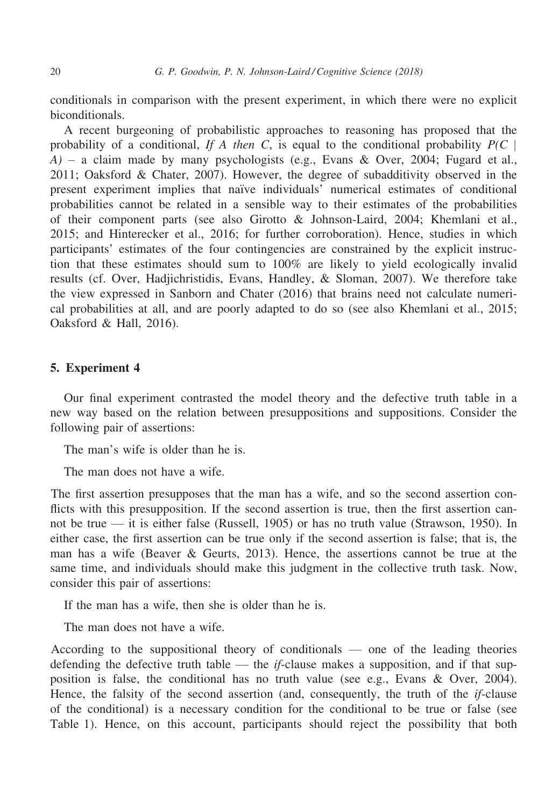conditionals in comparison with the present experiment, in which there were no explicit biconditionals.

A recent burgeoning of probabilistic approaches to reasoning has proposed that the probability of a conditional, If A then C, is equal to the conditional probability  $P(C |$  $A$ ) – a claim made by many psychologists (e.g., Evans & Over, 2004; Fugard et al., 2011; Oaksford & Chater, 2007). However, the degree of subadditivity observed in the present experiment implies that naïve individuals' numerical estimates of conditional probabilities cannot be related in a sensible way to their estimates of the probabilities of their component parts (see also Girotto & Johnson-Laird, 2004; Khemlani et al., 2015; and Hinterecker et al., 2016; for further corroboration). Hence, studies in which participants' estimates of the four contingencies are constrained by the explicit instruction that these estimates should sum to 100% are likely to yield ecologically invalid results (cf. Over, Hadjichristidis, Evans, Handley, & Sloman, 2007). We therefore take the view expressed in Sanborn and Chater (2016) that brains need not calculate numerical probabilities at all, and are poorly adapted to do so (see also Khemlani et al., 2015; Oaksford & Hall, 2016).

## 5. Experiment 4

Our final experiment contrasted the model theory and the defective truth table in a new way based on the relation between presuppositions and suppositions. Consider the following pair of assertions:

The man's wife is older than he is.

The man does not have a wife.

The first assertion presupposes that the man has a wife, and so the second assertion conflicts with this presupposition. If the second assertion is true, then the first assertion cannot be true — it is either false (Russell, 1905) or has no truth value (Strawson, 1950). In either case, the first assertion can be true only if the second assertion is false; that is, the man has a wife (Beaver & Geurts, 2013). Hence, the assertions cannot be true at the same time, and individuals should make this judgment in the collective truth task. Now, consider this pair of assertions:

If the man has a wife, then she is older than he is.

The man does not have a wife.

According to the suppositional theory of conditionals — one of the leading theories defending the defective truth table — the *if*-clause makes a supposition, and if that supposition is false, the conditional has no truth value (see e.g., Evans & Over, 2004). Hence, the falsity of the second assertion (and, consequently, the truth of the  $if$ -clause of the conditional) is a necessary condition for the conditional to be true or false (see Table 1). Hence, on this account, participants should reject the possibility that both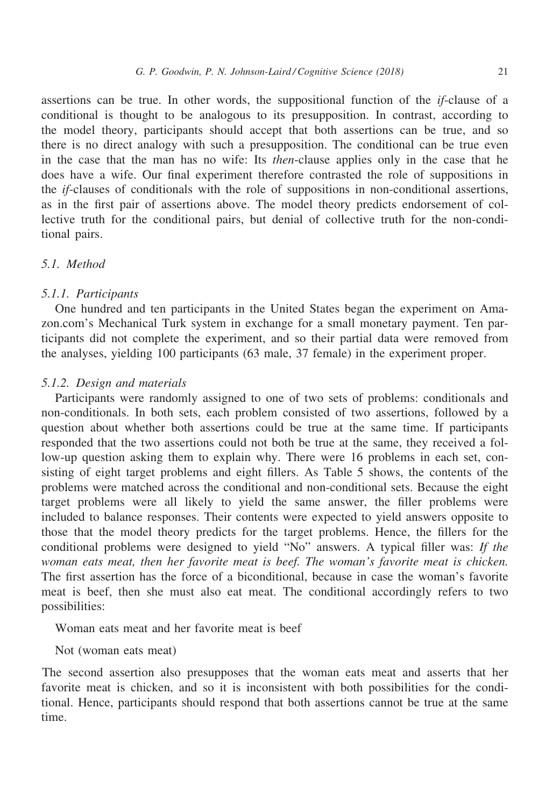assertions can be true. In other words, the suppositional function of the if-clause of a conditional is thought to be analogous to its presupposition. In contrast, according to the model theory, participants should accept that both assertions can be true, and so there is no direct analogy with such a presupposition. The conditional can be true even in the case that the man has no wife: Its then-clause applies only in the case that he does have a wife. Our final experiment therefore contrasted the role of suppositions in the if-clauses of conditionals with the role of suppositions in non-conditional assertions, as in the first pair of assertions above. The model theory predicts endorsement of collective truth for the conditional pairs, but denial of collective truth for the non-conditional pairs.

## 5.1. Method

#### 5.1.1. Participants

One hundred and ten participants in the United States began the experiment on Amazon.com's Mechanical Turk system in exchange for a small monetary payment. Ten participants did not complete the experiment, and so their partial data were removed from the analyses, yielding 100 participants (63 male, 37 female) in the experiment proper.

#### 5.1.2. Design and materials

Participants were randomly assigned to one of two sets of problems: conditionals and non-conditionals. In both sets, each problem consisted of two assertions, followed by a question about whether both assertions could be true at the same time. If participants responded that the two assertions could not both be true at the same, they received a follow-up question asking them to explain why. There were 16 problems in each set, consisting of eight target problems and eight fillers. As Table 5 shows, the contents of the problems were matched across the conditional and non-conditional sets. Because the eight target problems were all likely to yield the same answer, the filler problems were included to balance responses. Their contents were expected to yield answers opposite to those that the model theory predicts for the target problems. Hence, the fillers for the conditional problems were designed to yield "No" answers. A typical filler was: If the woman eats meat, then her favorite meat is beef. The woman's favorite meat is chicken. The first assertion has the force of a biconditional, because in case the woman's favorite meat is beef, then she must also eat meat. The conditional accordingly refers to two possibilities:

Woman eats meat and her favorite meat is beef

Not (woman eats meat)

The second assertion also presupposes that the woman eats meat and asserts that her favorite meat is chicken, and so it is inconsistent with both possibilities for the conditional. Hence, participants should respond that both assertions cannot be true at the same time.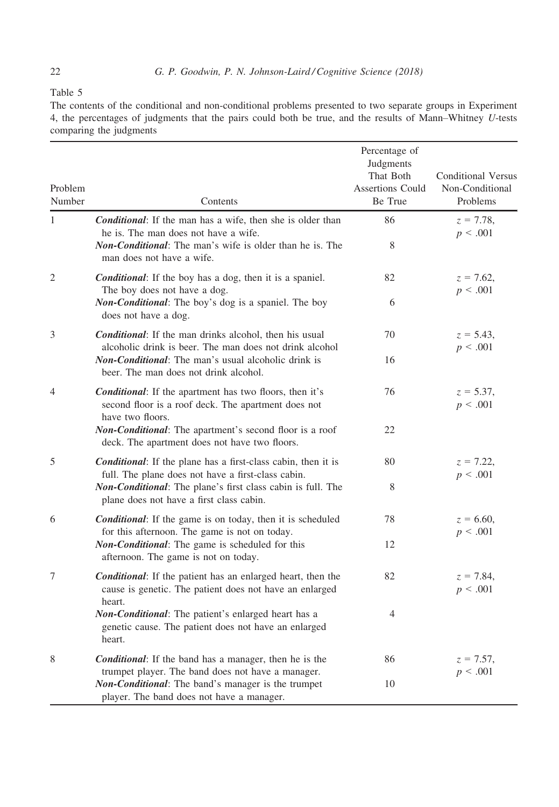Table 5

The contents of the conditional and non-conditional problems presented to two separate groups in Experiment 4, the percentages of judgments that the pairs could both be true, and the results of Mann–Whitney U-tests comparing the judgments

| Problem<br>Number | Contents                                                                                                                                                                                                                                                  | Percentage of<br>Judgments<br>That Both<br><b>Assertions Could</b><br>Be True | <b>Conditional Versus</b><br>Non-Conditional<br>Problems |
|-------------------|-----------------------------------------------------------------------------------------------------------------------------------------------------------------------------------------------------------------------------------------------------------|-------------------------------------------------------------------------------|----------------------------------------------------------|
| 1                 | Conditional: If the man has a wife, then she is older than<br>he is. The man does not have a wife.<br><b>Non-Conditional:</b> The man's wife is older than he is. The<br>man does not have a wife.                                                        | 86<br>8                                                                       | $z = 7.78$ ,<br>p < .001                                 |
| 2                 | <b>Conditional:</b> If the boy has a dog, then it is a spaniel.<br>The boy does not have a dog.<br>Non-Conditional: The boy's dog is a spaniel. The boy<br>does not have a dog.                                                                           | 82<br>6                                                                       | $z = 7.62$<br>$p < .001$                                 |
| 3                 | <b>Conditional:</b> If the man drinks alcohol, then his usual<br>alcoholic drink is beer. The man does not drink alcohol<br><b>Non-Conditional:</b> The man's usual alcoholic drink is<br>beer. The man does not drink alcohol.                           | 70<br>16                                                                      | $z = 5.43$ ,<br>p < .001                                 |
| 4                 | <b>Conditional:</b> If the apartment has two floors, then it's<br>second floor is a roof deck. The apartment does not<br>have two floors.<br>Non-Conditional: The apartment's second floor is a roof<br>deck. The apartment does not have two floors.     | 76<br>22                                                                      | $z = 5.37$ ,<br>p < .001                                 |
| 5                 | <b>Conditional:</b> If the plane has a first-class cabin, then it is<br>full. The plane does not have a first-class cabin.<br>Non-Conditional: The plane's first class cabin is full. The<br>plane does not have a first class cabin.                     | 80<br>8                                                                       | $z = 7.22$<br>p < .001                                   |
| 6                 | <b>Conditional:</b> If the game is on today, then it is scheduled<br>for this afternoon. The game is not on today.<br><b>Non-Conditional:</b> The game is scheduled for this<br>afternoon. The game is not on today.                                      | 78<br>12                                                                      | $z = 6.60$ ,<br>p < .001                                 |
| 7                 | Conditional: If the patient has an enlarged heart, then the<br>cause is genetic. The patient does not have an enlarged<br>heart.<br>Non-Conditional: The patient's enlarged heart has a<br>genetic cause. The patient does not have an enlarged<br>heart. | 82<br>4                                                                       | $z = 7.84$ ,<br>p < .001                                 |
| 8                 | <b>Conditional:</b> If the band has a manager, then he is the<br>trumpet player. The band does not have a manager.<br>Non-Conditional: The band's manager is the trumpet<br>player. The band does not have a manager.                                     | 86<br>10                                                                      | $z = 7.57$ ,<br>p < .001                                 |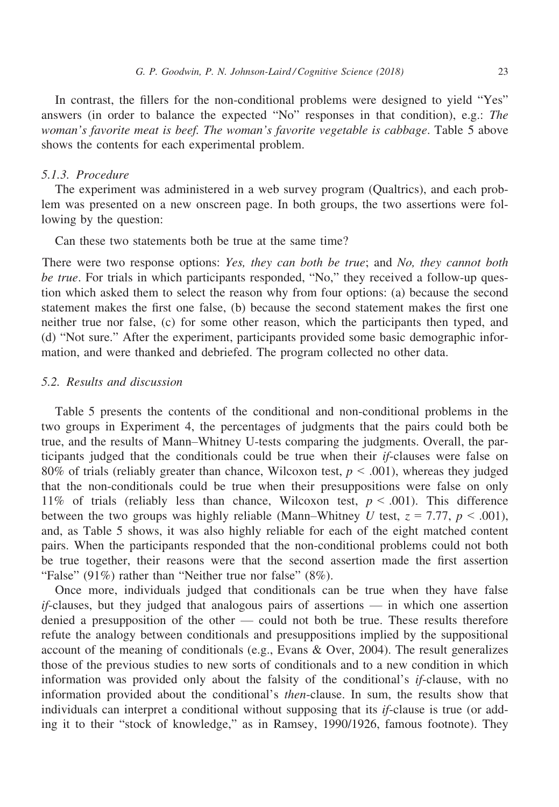In contrast, the fillers for the non-conditional problems were designed to yield "Yes" answers (in order to balance the expected "No" responses in that condition), e.g.: The woman's favorite meat is beef. The woman's favorite vegetable is cabbage. Table 5 above shows the contents for each experimental problem.

## 5.1.3. Procedure

The experiment was administered in a web survey program (Qualtrics), and each problem was presented on a new onscreen page. In both groups, the two assertions were following by the question:

## Can these two statements both be true at the same time?

There were two response options: Yes, they can both be true; and No, they cannot both be true. For trials in which participants responded, "No," they received a follow-up question which asked them to select the reason why from four options: (a) because the second statement makes the first one false, (b) because the second statement makes the first one neither true nor false, (c) for some other reason, which the participants then typed, and (d) "Not sure." After the experiment, participants provided some basic demographic information, and were thanked and debriefed. The program collected no other data.

### 5.2. Results and discussion

Table 5 presents the contents of the conditional and non-conditional problems in the two groups in Experiment 4, the percentages of judgments that the pairs could both be true, and the results of Mann–Whitney U-tests comparing the judgments. Overall, the participants judged that the conditionals could be true when their if-clauses were false on 80% of trials (reliably greater than chance, Wilcoxon test,  $p \le 0.001$ ), whereas they judged that the non-conditionals could be true when their presuppositions were false on only 11% of trials (reliably less than chance, Wilcoxon test,  $p < .001$ ). This difference between the two groups was highly reliable (Mann–Whitney U test,  $z = 7.77$ ,  $p < .001$ ), and, as Table 5 shows, it was also highly reliable for each of the eight matched content pairs. When the participants responded that the non-conditional problems could not both be true together, their reasons were that the second assertion made the first assertion "False" (91%) rather than "Neither true nor false" (8%).

Once more, individuals judged that conditionals can be true when they have false  $if$ -clauses, but they judged that analogous pairs of assertions — in which one assertion denied a presupposition of the other — could not both be true. These results therefore refute the analogy between conditionals and presuppositions implied by the suppositional account of the meaning of conditionals (e.g., Evans & Over, 2004). The result generalizes those of the previous studies to new sorts of conditionals and to a new condition in which information was provided only about the falsity of the conditional's if-clause, with no information provided about the conditional's then-clause. In sum, the results show that individuals can interpret a conditional without supposing that its  $if$ -clause is true (or adding it to their "stock of knowledge," as in Ramsey, 1990/1926, famous footnote). They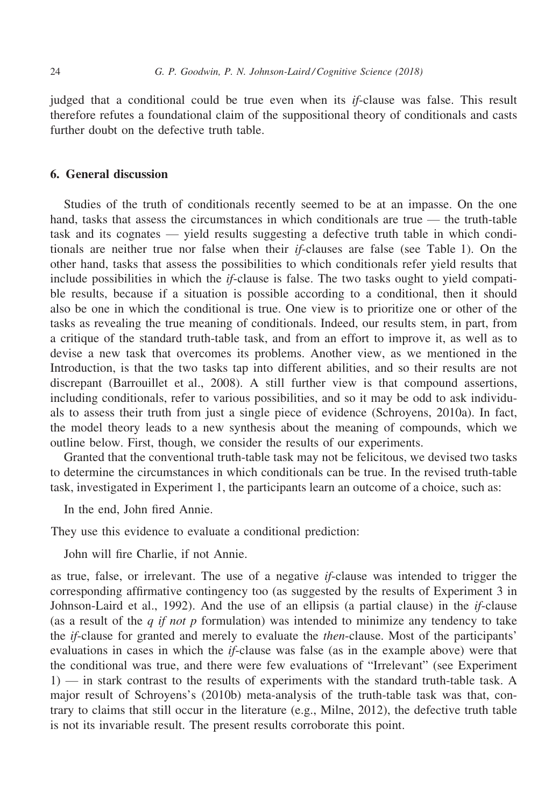judged that a conditional could be true even when its if-clause was false. This result therefore refutes a foundational claim of the suppositional theory of conditionals and casts further doubt on the defective truth table.

## 6. General discussion

Studies of the truth of conditionals recently seemed to be at an impasse. On the one hand, tasks that assess the circumstances in which conditionals are true — the truth-table task and its cognates — yield results suggesting a defective truth table in which conditionals are neither true nor false when their if-clauses are false (see Table 1). On the other hand, tasks that assess the possibilities to which conditionals refer yield results that include possibilities in which the if-clause is false. The two tasks ought to yield compatible results, because if a situation is possible according to a conditional, then it should also be one in which the conditional is true. One view is to prioritize one or other of the tasks as revealing the true meaning of conditionals. Indeed, our results stem, in part, from a critique of the standard truth-table task, and from an effort to improve it, as well as to devise a new task that overcomes its problems. Another view, as we mentioned in the Introduction, is that the two tasks tap into different abilities, and so their results are not discrepant (Barrouillet et al., 2008). A still further view is that compound assertions, including conditionals, refer to various possibilities, and so it may be odd to ask individuals to assess their truth from just a single piece of evidence (Schroyens, 2010a). In fact, the model theory leads to a new synthesis about the meaning of compounds, which we outline below. First, though, we consider the results of our experiments.

Granted that the conventional truth-table task may not be felicitous, we devised two tasks to determine the circumstances in which conditionals can be true. In the revised truth-table task, investigated in Experiment 1, the participants learn an outcome of a choice, such as:

In the end, John fired Annie.

They use this evidence to evaluate a conditional prediction:

John will fire Charlie, if not Annie.

as true, false, or irrelevant. The use of a negative if-clause was intended to trigger the corresponding affirmative contingency too (as suggested by the results of Experiment 3 in Johnson-Laird et al., 1992). And the use of an ellipsis (a partial clause) in the *if*-clause (as a result of the  $q$  if not p formulation) was intended to minimize any tendency to take the *if*-clause for granted and merely to evaluate the *then*-clause. Most of the participants' evaluations in cases in which the if-clause was false (as in the example above) were that the conditional was true, and there were few evaluations of "Irrelevant" (see Experiment 1) — in stark contrast to the results of experiments with the standard truth-table task. A major result of Schroyens's (2010b) meta-analysis of the truth-table task was that, contrary to claims that still occur in the literature (e.g., Milne, 2012), the defective truth table is not its invariable result. The present results corroborate this point.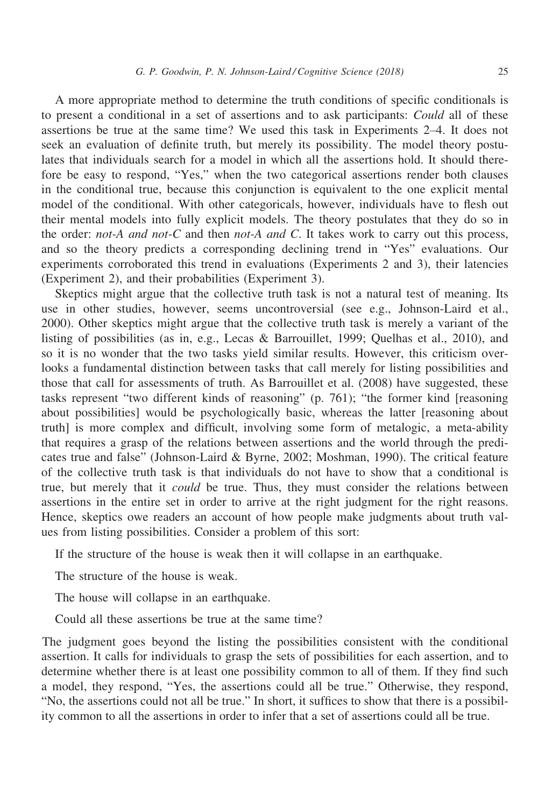A more appropriate method to determine the truth conditions of specific conditionals is to present a conditional in a set of assertions and to ask participants: Could all of these assertions be true at the same time? We used this task in Experiments 2–4. It does not seek an evaluation of definite truth, but merely its possibility. The model theory postulates that individuals search for a model in which all the assertions hold. It should therefore be easy to respond, "Yes," when the two categorical assertions render both clauses in the conditional true, because this conjunction is equivalent to the one explicit mental model of the conditional. With other categoricals, however, individuals have to flesh out their mental models into fully explicit models. The theory postulates that they do so in the order: not-A and not-C and then not-A and C. It takes work to carry out this process, and so the theory predicts a corresponding declining trend in "Yes" evaluations. Our experiments corroborated this trend in evaluations (Experiments 2 and 3), their latencies (Experiment 2), and their probabilities (Experiment 3).

Skeptics might argue that the collective truth task is not a natural test of meaning. Its use in other studies, however, seems uncontroversial (see e.g., Johnson-Laird et al., 2000). Other skeptics might argue that the collective truth task is merely a variant of the listing of possibilities (as in, e.g., Lecas & Barrouillet, 1999; Quelhas et al., 2010), and so it is no wonder that the two tasks yield similar results. However, this criticism overlooks a fundamental distinction between tasks that call merely for listing possibilities and those that call for assessments of truth. As Barrouillet et al. (2008) have suggested, these tasks represent "two different kinds of reasoning" (p. 761); "the former kind [reasoning about possibilities] would be psychologically basic, whereas the latter [reasoning about truth] is more complex and difficult, involving some form of metalogic, a meta-ability that requires a grasp of the relations between assertions and the world through the predicates true and false" (Johnson-Laird & Byrne, 2002; Moshman, 1990). The critical feature of the collective truth task is that individuals do not have to show that a conditional is true, but merely that it could be true. Thus, they must consider the relations between assertions in the entire set in order to arrive at the right judgment for the right reasons. Hence, skeptics owe readers an account of how people make judgments about truth values from listing possibilities. Consider a problem of this sort:

If the structure of the house is weak then it will collapse in an earthquake.

The structure of the house is weak.

The house will collapse in an earthquake.

Could all these assertions be true at the same time?

The judgment goes beyond the listing the possibilities consistent with the conditional assertion. It calls for individuals to grasp the sets of possibilities for each assertion, and to determine whether there is at least one possibility common to all of them. If they find such a model, they respond, "Yes, the assertions could all be true." Otherwise, they respond, "No, the assertions could not all be true." In short, it suffices to show that there is a possibility common to all the assertions in order to infer that a set of assertions could all be true.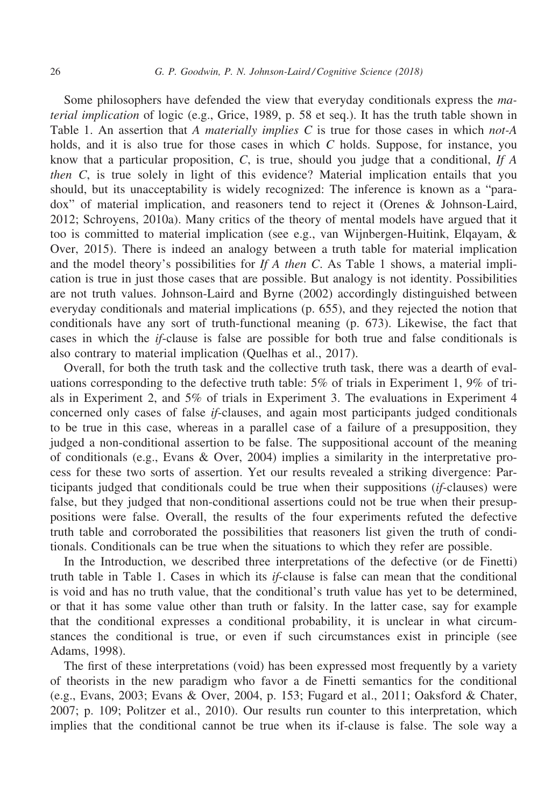Some philosophers have defended the view that everyday conditionals express the material implication of logic (e.g., Grice, 1989, p. 58 et seq.). It has the truth table shown in Table 1. An assertion that A materially implies C is true for those cases in which not-A holds, and it is also true for those cases in which C holds. Suppose, for instance, you know that a particular proposition,  $C$ , is true, should you judge that a conditional, If A then C, is true solely in light of this evidence? Material implication entails that you should, but its unacceptability is widely recognized: The inference is known as a "paradox" of material implication, and reasoners tend to reject it (Orenes & Johnson-Laird, 2012; Schroyens, 2010a). Many critics of the theory of mental models have argued that it too is committed to material implication (see e.g., van Wijnbergen-Huitink, Elqayam, & Over, 2015). There is indeed an analogy between a truth table for material implication and the model theory's possibilities for If A then C. As Table 1 shows, a material implication is true in just those cases that are possible. But analogy is not identity. Possibilities are not truth values. Johnson-Laird and Byrne (2002) accordingly distinguished between everyday conditionals and material implications (p. 655), and they rejected the notion that conditionals have any sort of truth-functional meaning (p. 673). Likewise, the fact that cases in which the if-clause is false are possible for both true and false conditionals is also contrary to material implication (Quelhas et al., 2017).

Overall, for both the truth task and the collective truth task, there was a dearth of evaluations corresponding to the defective truth table: 5% of trials in Experiment 1, 9% of trials in Experiment 2, and 5% of trials in Experiment 3. The evaluations in Experiment 4 concerned only cases of false if-clauses, and again most participants judged conditionals to be true in this case, whereas in a parallel case of a failure of a presupposition, they judged a non-conditional assertion to be false. The suppositional account of the meaning of conditionals (e.g., Evans & Over, 2004) implies a similarity in the interpretative process for these two sorts of assertion. Yet our results revealed a striking divergence: Participants judged that conditionals could be true when their suppositions (if-clauses) were false, but they judged that non-conditional assertions could not be true when their presuppositions were false. Overall, the results of the four experiments refuted the defective truth table and corroborated the possibilities that reasoners list given the truth of conditionals. Conditionals can be true when the situations to which they refer are possible.

In the Introduction, we described three interpretations of the defective (or de Finetti) truth table in Table 1. Cases in which its if-clause is false can mean that the conditional is void and has no truth value, that the conditional's truth value has yet to be determined, or that it has some value other than truth or falsity. In the latter case, say for example that the conditional expresses a conditional probability, it is unclear in what circumstances the conditional is true, or even if such circumstances exist in principle (see Adams, 1998).

The first of these interpretations (void) has been expressed most frequently by a variety of theorists in the new paradigm who favor a de Finetti semantics for the conditional (e.g., Evans, 2003; Evans & Over, 2004, p. 153; Fugard et al., 2011; Oaksford & Chater, 2007; p. 109; Politzer et al., 2010). Our results run counter to this interpretation, which implies that the conditional cannot be true when its if-clause is false. The sole way a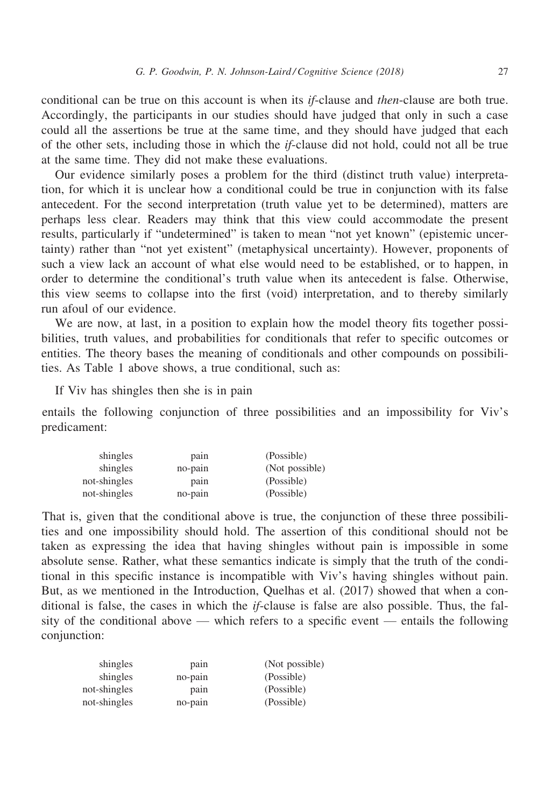conditional can be true on this account is when its if-clause and then-clause are both true. Accordingly, the participants in our studies should have judged that only in such a case could all the assertions be true at the same time, and they should have judged that each of the other sets, including those in which the if-clause did not hold, could not all be true at the same time. They did not make these evaluations.

Our evidence similarly poses a problem for the third (distinct truth value) interpretation, for which it is unclear how a conditional could be true in conjunction with its false antecedent. For the second interpretation (truth value yet to be determined), matters are perhaps less clear. Readers may think that this view could accommodate the present results, particularly if "undetermined" is taken to mean "not yet known" (epistemic uncertainty) rather than "not yet existent" (metaphysical uncertainty). However, proponents of such a view lack an account of what else would need to be established, or to happen, in order to determine the conditional's truth value when its antecedent is false. Otherwise, this view seems to collapse into the first (void) interpretation, and to thereby similarly run afoul of our evidence.

We are now, at last, in a position to explain how the model theory fits together possibilities, truth values, and probabilities for conditionals that refer to specific outcomes or entities. The theory bases the meaning of conditionals and other compounds on possibilities. As Table 1 above shows, a true conditional, such as:

If Viv has shingles then she is in pain

entails the following conjunction of three possibilities and an impossibility for Viv's predicament:

| shingles     | pain    | (Possible)     |
|--------------|---------|----------------|
| shingles     | no-pain | (Not possible) |
| not-shingles | pain    | (Possible)     |
| not-shingles | no-pain | (Possible)     |

That is, given that the conditional above is true, the conjunction of these three possibilities and one impossibility should hold. The assertion of this conditional should not be taken as expressing the idea that having shingles without pain is impossible in some absolute sense. Rather, what these semantics indicate is simply that the truth of the conditional in this specific instance is incompatible with Viv's having shingles without pain. But, as we mentioned in the Introduction, Quelhas et al. (2017) showed that when a conditional is false, the cases in which the if-clause is false are also possible. Thus, the falsity of the conditional above — which refers to a specific event — entails the following conjunction:

| shingles     | pain    | (Not possible) |
|--------------|---------|----------------|
| shingles     | no-pain | (Possible)     |
| not-shingles | pain    | (Possible)     |
| not-shingles | no-pain | (Possible)     |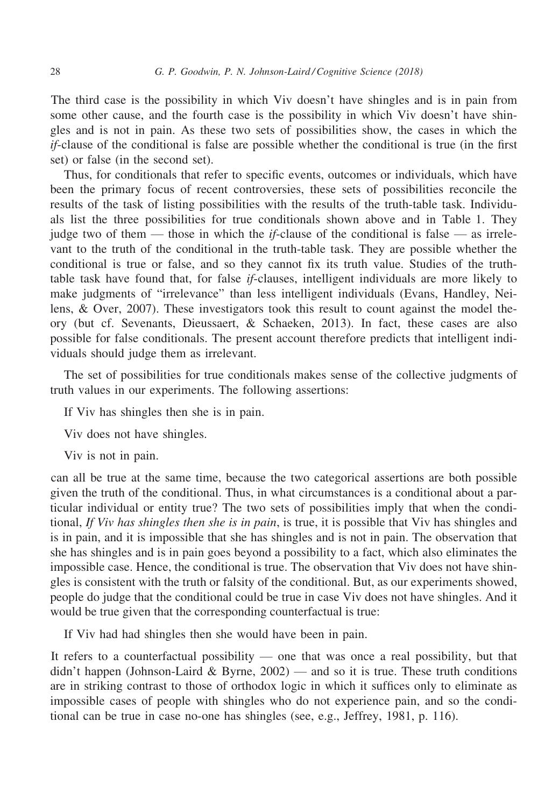The third case is the possibility in which Viv doesn't have shingles and is in pain from some other cause, and the fourth case is the possibility in which Viv doesn't have shingles and is not in pain. As these two sets of possibilities show, the cases in which the if-clause of the conditional is false are possible whether the conditional is true (in the first set) or false (in the second set).

Thus, for conditionals that refer to specific events, outcomes or individuals, which have been the primary focus of recent controversies, these sets of possibilities reconcile the results of the task of listing possibilities with the results of the truth-table task. Individuals list the three possibilities for true conditionals shown above and in Table 1. They judge two of them — those in which the *if*-clause of the conditional is false — as irrelevant to the truth of the conditional in the truth-table task. They are possible whether the conditional is true or false, and so they cannot fix its truth value. Studies of the truthtable task have found that, for false  $if$ -clauses, intelligent individuals are more likely to make judgments of "irrelevance" than less intelligent individuals (Evans, Handley, Neilens, & Over, 2007). These investigators took this result to count against the model theory (but cf. Sevenants, Dieussaert, & Schaeken, 2013). In fact, these cases are also possible for false conditionals. The present account therefore predicts that intelligent individuals should judge them as irrelevant.

The set of possibilities for true conditionals makes sense of the collective judgments of truth values in our experiments. The following assertions:

If Viv has shingles then she is in pain.

Viv does not have shingles.

Viv is not in pain.

can all be true at the same time, because the two categorical assertions are both possible given the truth of the conditional. Thus, in what circumstances is a conditional about a particular individual or entity true? The two sets of possibilities imply that when the conditional, If Viv has shingles then she is in pain, is true, it is possible that Viv has shingles and is in pain, and it is impossible that she has shingles and is not in pain. The observation that she has shingles and is in pain goes beyond a possibility to a fact, which also eliminates the impossible case. Hence, the conditional is true. The observation that Viv does not have shingles is consistent with the truth or falsity of the conditional. But, as our experiments showed, people do judge that the conditional could be true in case Viv does not have shingles. And it would be true given that the corresponding counterfactual is true:

If Viv had had shingles then she would have been in pain.

It refers to a counterfactual possibility — one that was once a real possibility, but that didn't happen (Johnson-Laird & Byrne,  $2002$ ) — and so it is true. These truth conditions are in striking contrast to those of orthodox logic in which it suffices only to eliminate as impossible cases of people with shingles who do not experience pain, and so the conditional can be true in case no-one has shingles (see, e.g., Jeffrey, 1981, p. 116).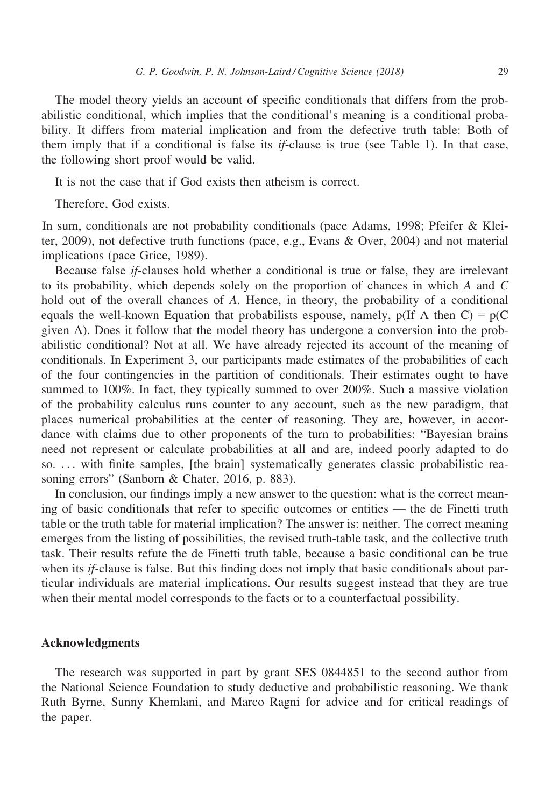The model theory yields an account of specific conditionals that differs from the probabilistic conditional, which implies that the conditional's meaning is a conditional probability. It differs from material implication and from the defective truth table: Both of them imply that if a conditional is false its  $if$ -clause is true (see Table 1). In that case, the following short proof would be valid.

It is not the case that if God exists then atheism is correct.

Therefore, God exists.

In sum, conditionals are not probability conditionals (pace Adams, 1998; Pfeifer & Kleiter, 2009), not defective truth functions (pace, e.g., Evans & Over, 2004) and not material implications (pace Grice, 1989).

Because false if-clauses hold whether a conditional is true or false, they are irrelevant to its probability, which depends solely on the proportion of chances in which  $A$  and  $C$ hold out of the overall chances of A. Hence, in theory, the probability of a conditional equals the well-known Equation that probabilists espouse, namely,  $p(If A then C) = p(C$ given A). Does it follow that the model theory has undergone a conversion into the probabilistic conditional? Not at all. We have already rejected its account of the meaning of conditionals. In Experiment 3, our participants made estimates of the probabilities of each of the four contingencies in the partition of conditionals. Their estimates ought to have summed to 100%. In fact, they typically summed to over 200%. Such a massive violation of the probability calculus runs counter to any account, such as the new paradigm, that places numerical probabilities at the center of reasoning. They are, however, in accordance with claims due to other proponents of the turn to probabilities: "Bayesian brains need not represent or calculate probabilities at all and are, indeed poorly adapted to do so. ... with finite samples, [the brain] systematically generates classic probabilistic reasoning errors" (Sanborn & Chater, 2016, p. 883).

In conclusion, our findings imply a new answer to the question: what is the correct meaning of basic conditionals that refer to specific outcomes or entities — the de Finetti truth table or the truth table for material implication? The answer is: neither. The correct meaning emerges from the listing of possibilities, the revised truth-table task, and the collective truth task. Their results refute the de Finetti truth table, because a basic conditional can be true when its *if*-clause is false. But this finding does not imply that basic conditionals about particular individuals are material implications. Our results suggest instead that they are true when their mental model corresponds to the facts or to a counterfactual possibility.

#### Acknowledgments

The research was supported in part by grant SES 0844851 to the second author from the National Science Foundation to study deductive and probabilistic reasoning. We thank Ruth Byrne, Sunny Khemlani, and Marco Ragni for advice and for critical readings of the paper.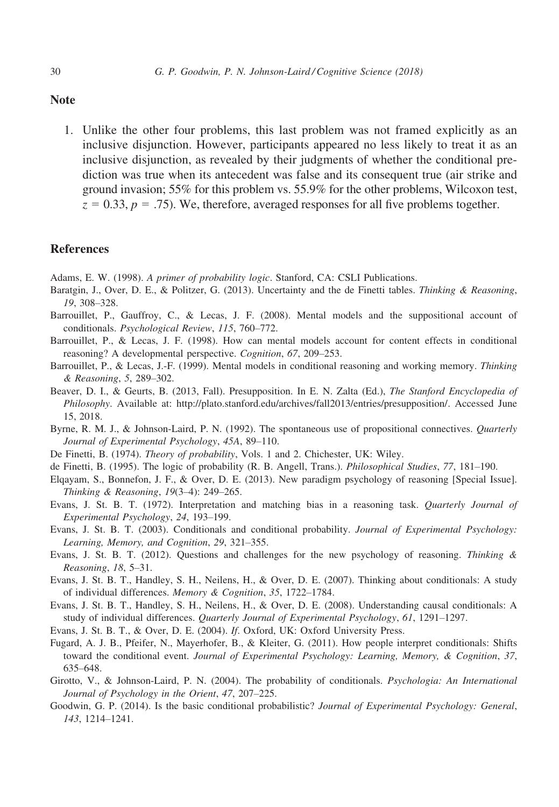## Note

1. Unlike the other four problems, this last problem was not framed explicitly as an inclusive disjunction. However, participants appeared no less likely to treat it as an inclusive disjunction, as revealed by their judgments of whether the conditional prediction was true when its antecedent was false and its consequent true (air strike and ground invasion; 55% for this problem vs. 55.9% for the other problems, Wilcoxon test,  $z = 0.33$ ,  $p = .75$ ). We, therefore, averaged responses for all five problems together.

## References

Adams, E. W. (1998). A primer of probability logic. Stanford, CA: CSLI Publications.

- Baratgin, J., Over, D. E., & Politzer, G. (2013). Uncertainty and the de Finetti tables. Thinking & Reasoning, 19, 308–328.
- Barrouillet, P., Gauffroy, C., & Lecas, J. F. (2008). Mental models and the suppositional account of conditionals. Psychological Review, 115, 760–772.
- Barrouillet, P., & Lecas, J. F. (1998). How can mental models account for content effects in conditional reasoning? A developmental perspective. Cognition, 67, 209–253.
- Barrouillet, P., & Lecas, J.-F. (1999). Mental models in conditional reasoning and working memory. Thinking & Reasoning, 5, 289–302.
- Beaver, D. I., & Geurts, B. (2013, Fall). Presupposition. In E. N. Zalta (Ed.), The Stanford Encyclopedia of Philosophy. Available at:<http://plato.stanford.edu/archives/fall2013/entries/presupposition/>. Accessed June 15, 2018.
- Byrne, R. M. J., & Johnson-Laird, P. N. (1992). The spontaneous use of propositional connectives. Quarterly Journal of Experimental Psychology, 45A, 89–110.
- De Finetti, B. (1974). Theory of probability, Vols. 1 and 2. Chichester, UK: Wiley.
- de Finetti, B. (1995). The logic of probability (R. B. Angell, Trans.). *Philosophical Studies*, 77, 181–190.
- Elqayam, S., Bonnefon, J. F., & Over, D. E. (2013). New paradigm psychology of reasoning [Special Issue]. Thinking & Reasoning, 19(3–4): 249–265.
- Evans, J. St. B. T. (1972). Interpretation and matching bias in a reasoning task. Quarterly Journal of Experimental Psychology, 24, 193–199.
- Evans, J. St. B. T. (2003). Conditionals and conditional probability. Journal of Experimental Psychology: Learning, Memory, and Cognition, 29, 321–355.
- Evans, J. St. B. T. (2012). Questions and challenges for the new psychology of reasoning. Thinking  $\&$ Reasoning, 18, 5–31.
- Evans, J. St. B. T., Handley, S. H., Neilens, H., & Over, D. E. (2007). Thinking about conditionals: A study of individual differences. Memory & Cognition, 35, 1722–1784.
- Evans, J. St. B. T., Handley, S. H., Neilens, H., & Over, D. E. (2008). Understanding causal conditionals: A study of individual differences. Quarterly Journal of Experimental Psychology, 61, 1291–1297.
- Evans, J. St. B. T., & Over, D. E. (2004). If. Oxford, UK: Oxford University Press.
- Fugard, A. J. B., Pfeifer, N., Mayerhofer, B., & Kleiter, G. (2011). How people interpret conditionals: Shifts toward the conditional event. Journal of Experimental Psychology: Learning, Memory, & Cognition, 37, 635–648.
- Girotto, V., & Johnson-Laird, P. N. (2004). The probability of conditionals. Psychologia: An International Journal of Psychology in the Orient, 47, 207–225.
- Goodwin, G. P. (2014). Is the basic conditional probabilistic? Journal of Experimental Psychology: General, 143, 1214–1241.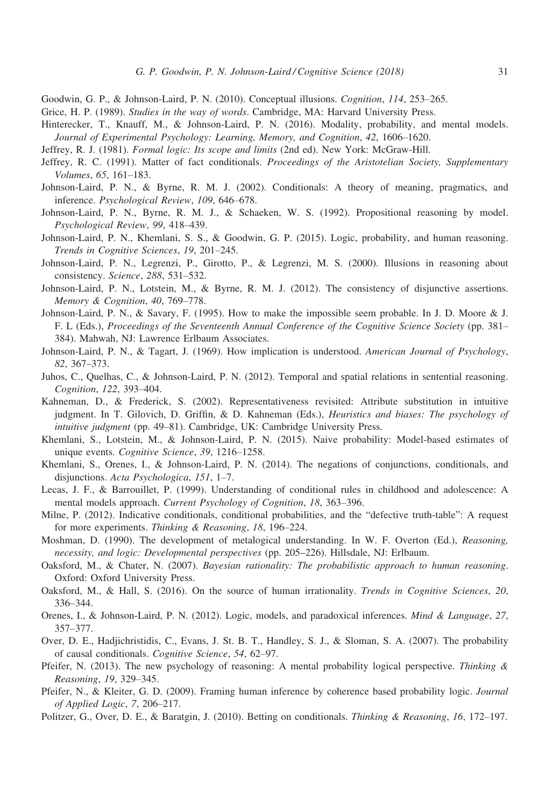- Goodwin, G. P., & Johnson-Laird, P. N. (2010). Conceptual illusions. Cognition, 114, 253–265.
- Grice, H. P. (1989). Studies in the way of words. Cambridge, MA: Harvard University Press.
- Hinterecker, T., Knauff, M., & Johnson-Laird, P. N. (2016). Modality, probability, and mental models. Journal of Experimental Psychology: Learning, Memory, and Cognition, 42, 1606–1620.
- Jeffrey, R. J. (1981). Formal logic: Its scope and limits (2nd ed). New York: McGraw-Hill.
- Jeffrey, R. C. (1991). Matter of fact conditionals. Proceedings of the Aristotelian Society, Supplementary Volumes, 65, 161–183.
- Johnson-Laird, P. N., & Byrne, R. M. J. (2002). Conditionals: A theory of meaning, pragmatics, and inference. Psychological Review, 109, 646–678.
- Johnson-Laird, P. N., Byrne, R. M. J., & Schaeken, W. S. (1992). Propositional reasoning by model. Psychological Review, 99, 418–439.
- Johnson-Laird, P. N., Khemlani, S. S., & Goodwin, G. P. (2015). Logic, probability, and human reasoning. Trends in Cognitive Sciences, 19, 201–245.
- Johnson-Laird, P. N., Legrenzi, P., Girotto, P., & Legrenzi, M. S. (2000). Illusions in reasoning about consistency. Science, 288, 531–532.
- Johnson-Laird, P. N., Lotstein, M., & Byrne, R. M. J. (2012). The consistency of disjunctive assertions. Memory & Cognition, 40, 769–778.
- Johnson-Laird, P. N., & Savary, F. (1995). How to make the impossible seem probable. In J. D. Moore & J. F. L (Eds.), Proceedings of the Seventeenth Annual Conference of the Cognitive Science Society (pp. 381– 384). Mahwah, NJ: Lawrence Erlbaum Associates.
- Johnson-Laird, P. N., & Tagart, J. (1969). How implication is understood. American Journal of Psychology, 82, 367–373.
- Juhos, C., Quelhas, C., & Johnson-Laird, P. N. (2012). Temporal and spatial relations in sentential reasoning. Cognition, 122, 393–404.
- Kahneman, D., & Frederick, S. (2002). Representativeness revisited: Attribute substitution in intuitive judgment. In T. Gilovich, D. Griffin, & D. Kahneman (Eds.), Heuristics and biases: The psychology of intuitive judgment (pp. 49–81). Cambridge, UK: Cambridge University Press.
- Khemlani, S., Lotstein, M., & Johnson-Laird, P. N. (2015). Naive probability: Model-based estimates of unique events. Cognitive Science, 39, 1216–1258.
- Khemlani, S., Orenes, I., & Johnson-Laird, P. N. (2014). The negations of conjunctions, conditionals, and disjunctions. Acta Psychologica, 151, 1–7.
- Lecas, J. F., & Barrouillet, P. (1999). Understanding of conditional rules in childhood and adolescence: A mental models approach. Current Psychology of Cognition, 18, 363–396.
- Milne, P. (2012). Indicative conditionals, conditional probabilities, and the "defective truth-table": A request for more experiments. Thinking & Reasoning, 18, 196–224.
- Moshman, D. (1990). The development of metalogical understanding. In W. F. Overton (Ed.), Reasoning, necessity, and logic: Developmental perspectives (pp. 205–226). Hillsdale, NJ: Erlbaum.
- Oaksford, M., & Chater, N. (2007). Bayesian rationality: The probabilistic approach to human reasoning. Oxford: Oxford University Press.
- Oaksford, M., & Hall, S. (2016). On the source of human irrationality. Trends in Cognitive Sciences, 20, 336–344.
- Orenes, I., & Johnson-Laird, P. N. (2012). Logic, models, and paradoxical inferences. Mind & Language, 27, 357–377.
- Over, D. E., Hadjichristidis, C., Evans, J. St. B. T., Handley, S. J., & Sloman, S. A. (2007). The probability of causal conditionals. Cognitive Science, 54, 62–97.
- Pfeifer, N. (2013). The new psychology of reasoning: A mental probability logical perspective. Thinking & Reasoning, 19, 329–345.
- Pfeifer, N., & Kleiter, G. D. (2009). Framing human inference by coherence based probability logic. Journal of Applied Logic, 7, 206–217.
- Politzer, G., Over, D. E., & Baratgin, J. (2010). Betting on conditionals. Thinking & Reasoning, 16, 172–197.